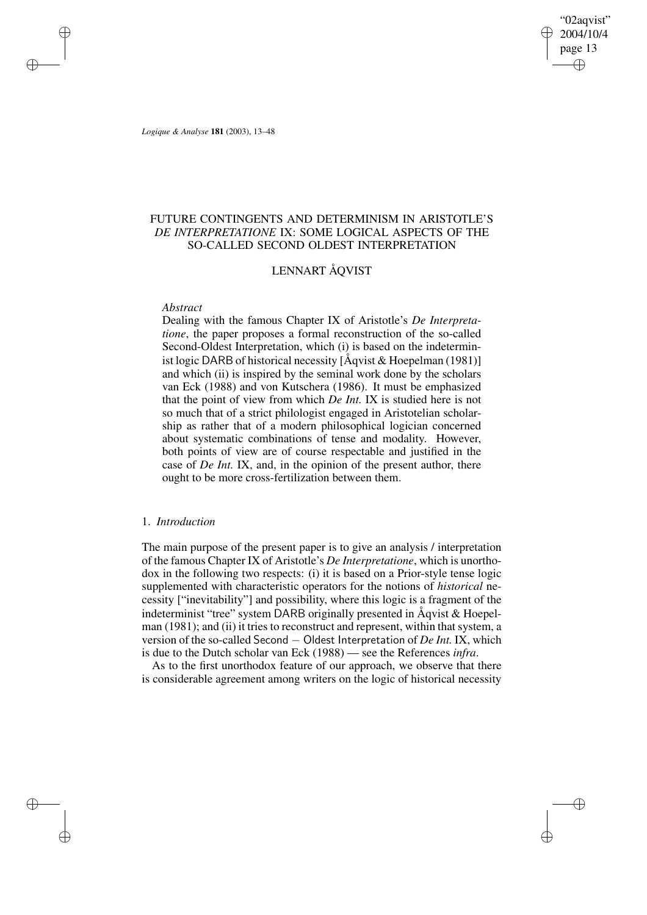"02aqvist" 2004/10/4 page 13 ✐ ✐

✐

✐

*Logique & Analyse* **181** (2003), 13–48

✐

✐

✐

✐

# FUTURE CONTINGENTS AND DETERMINISM IN ARISTOTLE'S *DE INTERPRETATIONE* IX: SOME LOGICAL ASPECTS OF THE SO-CALLED SECOND OLDEST INTERPRETATION

# LENNART ÅQVIST

# *Abstract*

Dealing with the famous Chapter IX of Aristotle's *De Interpretatione*, the paper proposes a formal reconstruction of the so-called Second-Oldest Interpretation, which (i) is based on the indeterminist logic DARB of historical necessity [Åqvist & Hoepelman (1981)] and which (ii) is inspired by the seminal work done by the scholars van Eck (1988) and von Kutschera (1986). It must be emphasized that the point of view from which *De Int.* IX is studied here is not so much that of a strict philologist engaged in Aristotelian scholarship as rather that of a modern philosophical logician concerned about systematic combinations of tense and modality. However, both points of view are of course respectable and justified in the case of *De Int.* IX, and, in the opinion of the present author, there ought to be more cross-fertilization between them.

# 1. *Introduction*

The main purpose of the present paper is to give an analysis / interpretation of the famous Chapter IX of Aristotle's *De Interpretatione*, which is unorthodox in the following two respects: (i) it is based on a Prior-style tense logic supplemented with characteristic operators for the notions of *historical* necessity ["inevitability"] and possibility, where this logic is a fragment of the indeterminist "tree" system DARB originally presented in Åqvist & Hoepelman (1981); and (ii) it tries to reconstruct and represent, within that system, a version of the so-called Second − Oldest Interpretation of *De Int.* IX, which is due to the Dutch scholar van Eck (1988) — see the References *infra*.

As to the first unorthodox feature of our approach, we observe that there is considerable agreement among writers on the logic of historical necessity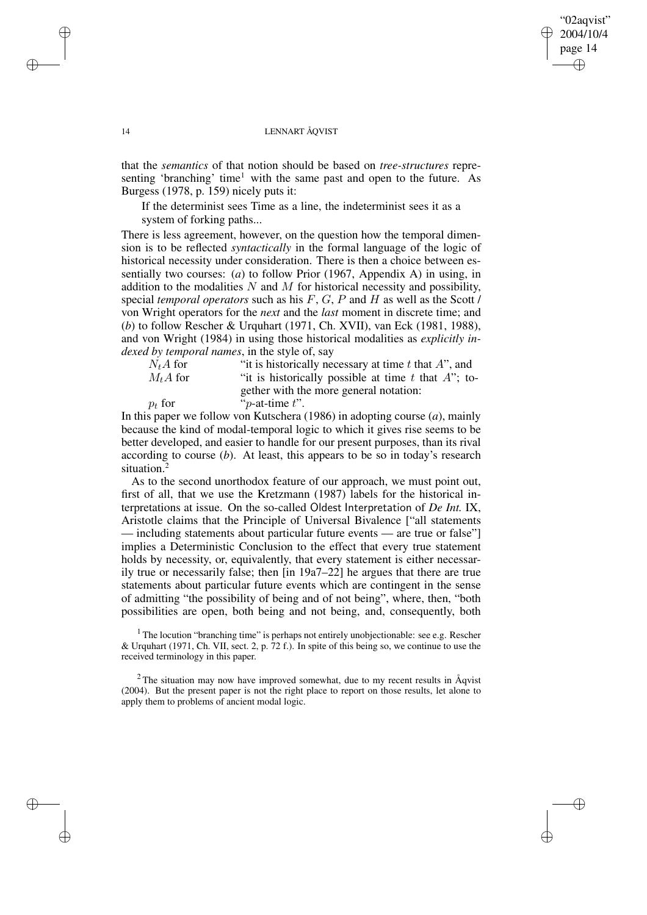# "02aqvist" 2004/10/4 page 14 ✐ ✐

✐

✐

#### 14 LENNART ÅQVIST

that the *semantics* of that notion should be based on *tree-structures* representing 'branching' time<sup>1</sup> with the same past and open to the future. As Burgess (1978, p. 159) nicely puts it:

If the determinist sees Time as a line, the indeterminist sees it as a system of forking paths...

There is less agreement, however, on the question how the temporal dimension is to be reflected *syntactically* in the formal language of the logic of historical necessity under consideration. There is then a choice between essentially two courses: (*a*) to follow Prior (1967, Appendix A) in using, in addition to the modalities  $N$  and  $M$  for historical necessity and possibility, special *temporal operators* such as his F, G, P and H as well as the Scott / von Wright operators for the *next* and the *last* moment in discrete time; and (*b*) to follow Rescher & Urquhart (1971, Ch. XVII), van Eck (1981, 1988), and von Wright (1984) in using those historical modalities as *explicitly indexed by temporal names*, in the style of, say

| $N_tA$ for | "it is historically necessary at time $t$ that $A$ ", and |
|------------|-----------------------------------------------------------|
| $M_tA$ for | "it is historically possible at time t that $A$ "; to-    |
|            | gether with the more general notation:                    |
| $p_t$ for  | " $p$ -at-time $t$ ".                                     |

In this paper we follow von Kutschera (1986) in adopting course (*a*), mainly because the kind of modal-temporal logic to which it gives rise seems to be better developed, and easier to handle for our present purposes, than its rival according to course (*b*). At least, this appears to be so in today's research situation.<sup>2</sup>

As to the second unorthodox feature of our approach, we must point out, first of all, that we use the Kretzmann (1987) labels for the historical interpretations at issue. On the so-called Oldest Interpretation of *De Int.* IX, Aristotle claims that the Principle of Universal Bivalence ["all statements — including statements about particular future events — are true or false"] implies a Deterministic Conclusion to the effect that every true statement holds by necessity, or, equivalently, that every statement is either necessarily true or necessarily false; then [in 19a7–22] he argues that there are true statements about particular future events which are contingent in the sense of admitting "the possibility of being and of not being", where, then, "both possibilities are open, both being and not being, and, consequently, both

<sup>1</sup> The locution "branching time" is perhaps not entirely unobjectionable: see e.g. Rescher & Urquhart (1971, Ch. VII, sect. 2, p. 72 f.). In spite of this being so, we continue to use the received terminology in this paper.

 $2$ The situation may now have improved somewhat, due to my recent results in  $\text{Aqvist}$ (2004). But the present paper is not the right place to report on those results, let alone to apply them to problems of ancient modal logic.

✐

✐

✐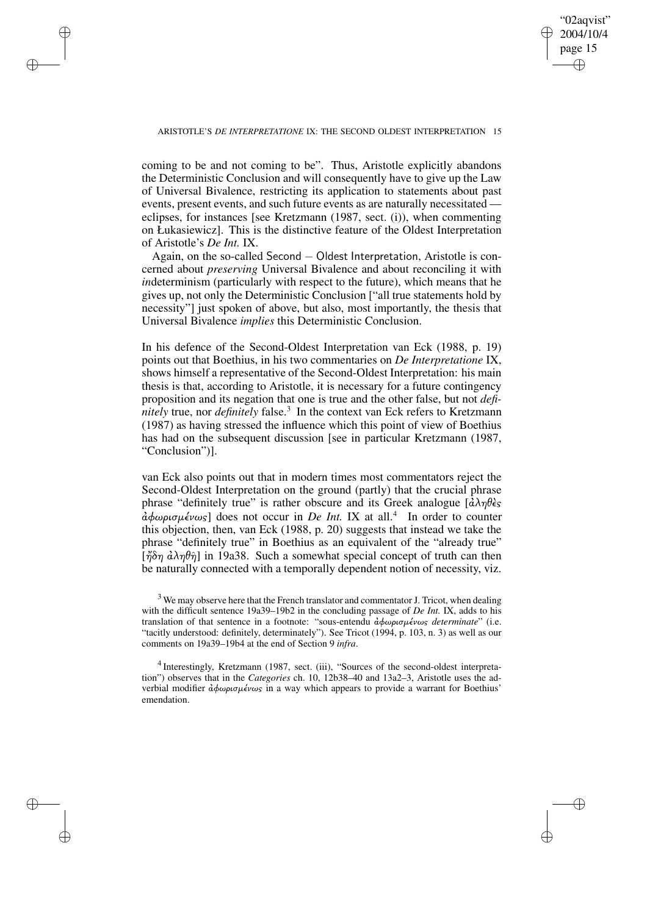✐

#### ARISTOTLE'S *DE INTERPRETATIONE* IX: THE SECOND OLDEST INTERPRETATION 15

✐

✐

✐

✐

coming to be and not coming to be". Thus, Aristotle explicitly abandons the Deterministic Conclusion and will consequently have to give up the Law of Universal Bivalence, restricting its application to statements about past events, present events, and such future events as are naturally necessitated eclipses, for instances [see Kretzmann (1987, sect. (i)), when commenting on Łukasiewicz]. This is the distinctive feature of the Oldest Interpretation of Aristotle's *De Int.* IX.

Again, on the so-called Second − Oldest Interpretation, Aristotle is concerned about *preserving* Universal Bivalence and about reconciling it with *in*determinism (particularly with respect to the future), which means that he gives up, not only the Deterministic Conclusion ["all true statements hold by necessity"] just spoken of above, but also, most importantly, the thesis that Universal Bivalence *implies* this Deterministic Conclusion.

In his defence of the Second-Oldest Interpretation van Eck (1988, p. 19) points out that Boethius, in his two commentaries on *De Interpretatione* IX, shows himself a representative of the Second-Oldest Interpretation: his main thesis is that, according to Aristotle, it is necessary for a future contingency proposition and its negation that one is true and the other false, but not *definitely* true, nor *definitely* false.<sup>3</sup> In the context van Eck refers to Kretzmann (1987) as having stressed the influence which this point of view of Boethius has had on the subsequent discussion [see in particular Kretzmann (1987, "Conclusion")].

van Eck also points out that in modern times most commentators reject the Second-Oldest Interpretation on the ground (partly) that the crucial phrase phrase "definitely true" is rather obscure and its Greek analogue  $[\hat{\alpha}\lambda\eta\theta\hat{\epsilon}\sigma]$ ¢φωρισµένως] does not occur in *De Int.* IX at all.<sup>4</sup> In order to counter this objection, then, van Eck (1988, p. 20) suggests that instead we take the phrase "definitely true" in Boethius as an equivalent of the "already true" [ $\eta \delta \eta$   $\partial \lambda \eta \theta \hat{\eta}$ ] in 19a38. Such a somewhat special concept of truth can then be naturally connected with a temporally dependent notion of necessity, viz.

 $3$  We may observe here that the French translator and commentator J. Tricot, when dealing with the difficult sentence 19a39–19b2 in the concluding passage of *De Int.* IX, adds to his translation of that sentence in a footnote: "sous-entendu ¢φωρισµένως *determinate*" (i.e. "tacitly understood: definitely, determinately"). See Tricot (1994, p. 103, n. 3) as well as our comments on 19a39–19b4 at the end of Section 9 *infra*.

<sup>&</sup>lt;sup>4</sup> Interestingly, Kretzmann (1987, sect. (iii), "Sources of the second-oldest interpretation") observes that in the *Categories* ch. 10, 12b38–40 and 13a2–3, Aristotle uses the adverbial modifier  $\frac{\partial \phi}{\partial \rho}$ ισμένως in a way which appears to provide a warrant for Boethius' emendation.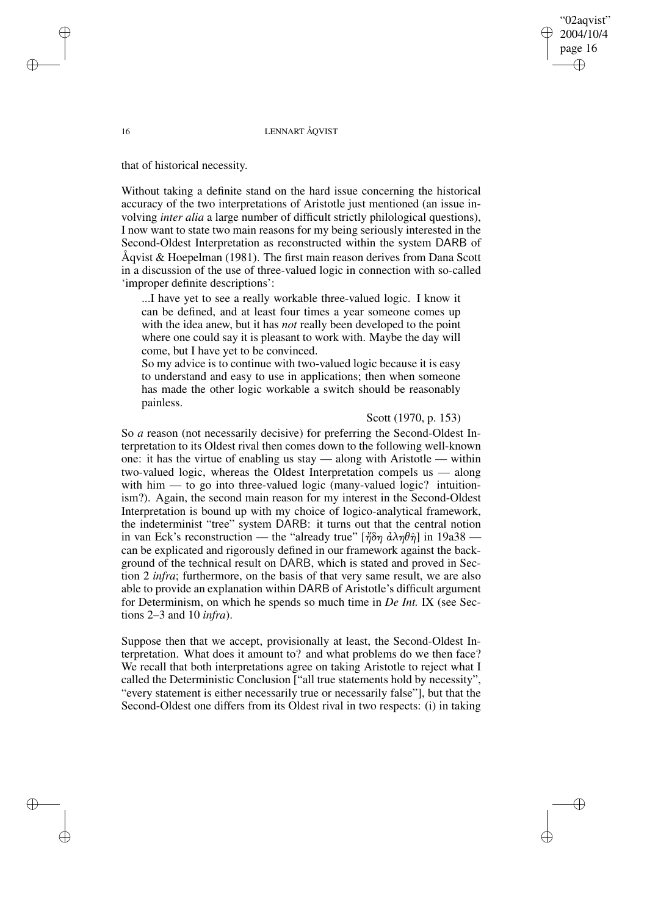#### 16 LENNART ÅQVIST

that of historical necessity.

Without taking a definite stand on the hard issue concerning the historical accuracy of the two interpretations of Aristotle just mentioned (an issue involving *inter alia* a large number of difficult strictly philological questions), I now want to state two main reasons for my being seriously interested in the Second-Oldest Interpretation as reconstructed within the system DARB of Åqvist & Hoepelman (1981). The first main reason derives from Dana Scott in a discussion of the use of three-valued logic in connection with so-called 'improper definite descriptions':

...I have yet to see a really workable three-valued logic. I know it can be defined, and at least four times a year someone comes up with the idea anew, but it has *not* really been developed to the point where one could say it is pleasant to work with. Maybe the day will come, but I have yet to be convinced.

So my advice is to continue with two-valued logic because it is easy to understand and easy to use in applications; then when someone has made the other logic workable a switch should be reasonably painless.

# Scott (1970, p. 153)

"02aqvist" 2004/10/4 page 16

✐

✐

✐

✐

So *a* reason (not necessarily decisive) for preferring the Second-Oldest Interpretation to its Oldest rival then comes down to the following well-known one: it has the virtue of enabling us stay — along with Aristotle — within two-valued logic, whereas the Oldest Interpretation compels us — along with him — to go into three-valued logic (many-valued logic? intuitionism?). Again, the second main reason for my interest in the Second-Oldest Interpretation is bound up with my choice of logico-analytical framework, the indeterminist "tree" system DARB: it turns out that the central notion in van Eck's reconstruction — the "already true" [ἤδη  $d\lambda \eta \theta \hat{\eta}$ ] in 19a38 can be explicated and rigorously defined in our framework against the background of the technical result on DARB, which is stated and proved in Section 2 *infra*; furthermore, on the basis of that very same result, we are also able to provide an explanation within DARB of Aristotle's difficult argument for Determinism, on which he spends so much time in *De Int.* IX (see Sections 2–3 and 10 *infra*).

Suppose then that we accept, provisionally at least, the Second-Oldest Interpretation. What does it amount to? and what problems do we then face? We recall that both interpretations agree on taking Aristotle to reject what I called the Deterministic Conclusion ["all true statements hold by necessity", "every statement is either necessarily true or necessarily false"], but that the Second-Oldest one differs from its Oldest rival in two respects: (i) in taking

✐

✐

✐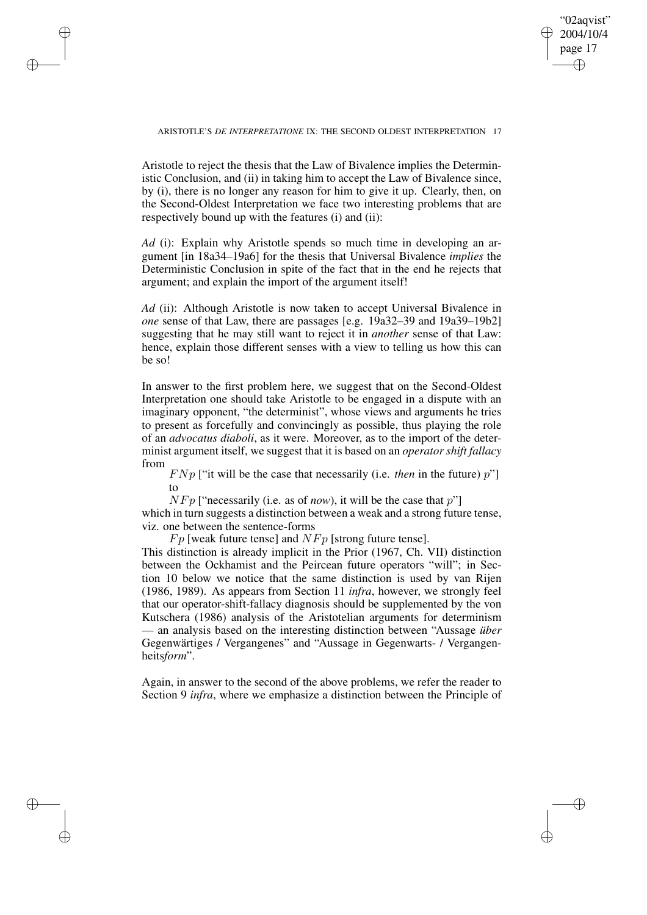"02aqvist" 2004/10/4 page 17 ✐ ✐

✐

✐

✐

✐

✐

✐

Aristotle to reject the thesis that the Law of Bivalence implies the Deterministic Conclusion, and (ii) in taking him to accept the Law of Bivalence since, by (i), there is no longer any reason for him to give it up. Clearly, then, on the Second-Oldest Interpretation we face two interesting problems that are respectively bound up with the features (i) and (ii):

*Ad* (i): Explain why Aristotle spends so much time in developing an argument [in 18a34–19a6] for the thesis that Universal Bivalence *implies* the Deterministic Conclusion in spite of the fact that in the end he rejects that argument; and explain the import of the argument itself!

*Ad* (ii): Although Aristotle is now taken to accept Universal Bivalence in *one* sense of that Law, there are passages [e.g. 19a32–39 and 19a39–19b2] suggesting that he may still want to reject it in *another* sense of that Law: hence, explain those different senses with a view to telling us how this can be so!

In answer to the first problem here, we suggest that on the Second-Oldest Interpretation one should take Aristotle to be engaged in a dispute with an imaginary opponent, "the determinist", whose views and arguments he tries to present as forcefully and convincingly as possible, thus playing the role of an *advocatus diaboli*, as it were. Moreover, as to the import of the determinist argument itself, we suggest that it is based on an *operator shift fallacy* from

 $F N p$  ["it will be the case that necessarily (i.e. *then* in the future)  $p$ "] to

 $NFP$  ["necessarily (i.e. as of *now*), it will be the case that  $p$ "]

which in turn suggests a distinction between a weak and a strong future tense, viz. one between the sentence-forms

 $Fp$  [weak future tense] and  $N Fp$  [strong future tense].

This distinction is already implicit in the Prior (1967, Ch. VII) distinction between the Ockhamist and the Peircean future operators "will"; in Section 10 below we notice that the same distinction is used by van Rijen (1986, 1989). As appears from Section 11 *infra*, however, we strongly feel that our operator-shift-fallacy diagnosis should be supplemented by the von Kutschera (1986) analysis of the Aristotelian arguments for determinism — an analysis based on the interesting distinction between "Aussage *über* Gegenwärtiges / Vergangenes" and "Aussage in Gegenwarts- / Vergangenheits*form*".

Again, in answer to the second of the above problems, we refer the reader to Section 9 *infra*, where we emphasize a distinction between the Principle of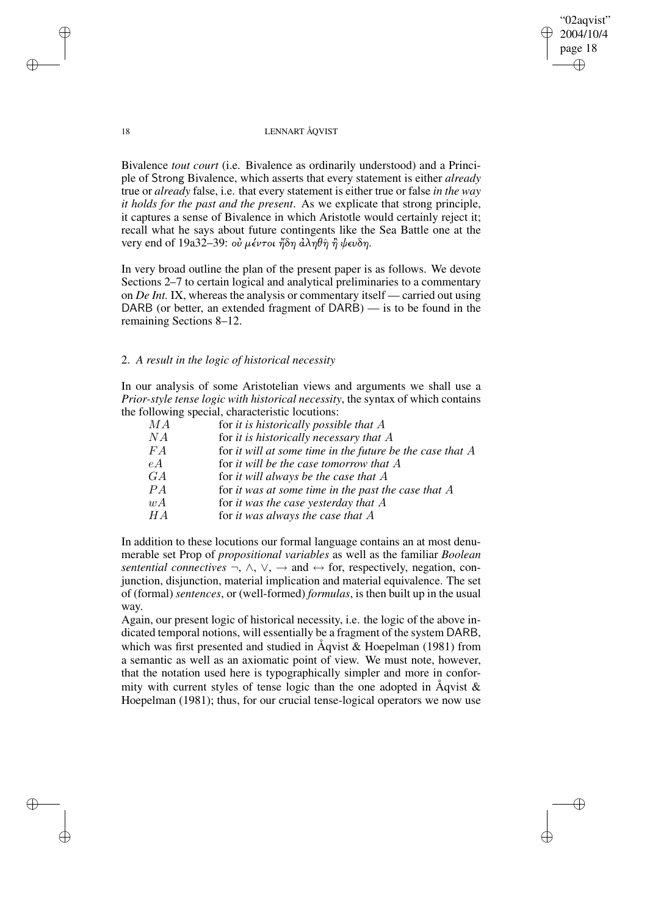# "02aqvist" 2004/10/4 page 18 ✐ ✐

✐

✐

## 18 LENNART ÅQVIST

Bivalence *tout court* (i.e. Bivalence as ordinarily understood) and a Principle of Strong Bivalence, which asserts that every statement is either *already* true or *already* false, i.e. that every statement is either true or false *in the way it holds for the past and the present*. As we explicate that strong principle, it captures a sense of Bivalence in which Aristotle would certainly reject it; recall what he says about future contingents like the Sea Battle one at the very end of 19a32–39: οὐ μέντοι ἤδη ἀληθη̂ η ψευδη.

In very broad outline the plan of the present paper is as follows. We devote Sections 2–7 to certain logical and analytical preliminaries to a commentary on *De Int.* IX, whereas the analysis or commentary itself — carried out using DARB (or better, an extended fragment of DARB) — is to be found in the remaining Sections 8–12.

# 2. *A result in the logic of historical necessity*

In our analysis of some Aristotelian views and arguments we shall use a *Prior-style tense logic with historical necessity*, the syntax of which contains the following special, characteristic locutions:

| МA | for it is historically possible that $A$                  |
|----|-----------------------------------------------------------|
| NА | for it is historically necessary that $A$                 |
| FA | for it will at some time in the future be the case that A |
| eA | for it will be the case tomorrow that $A$                 |
| GA | for it will always be the case that $A$                   |
| PA | for it was at some time in the past the case that $A$     |
| wA | for it was the case yesterday that $A$                    |
| HА | for it was always the case that $A$                       |
|    |                                                           |

In addition to these locutions our formal language contains an at most denumerable set Prop of *propositional variables* as well as the familiar *Boolean sentential connectives*  $\neg$ ,  $\wedge$ ,  $\vee$ ,  $\rightarrow$  and  $\leftrightarrow$  for, respectively, negation, conjunction, disjunction, material implication and material equivalence. The set of (formal) *sentences*, or (well-formed) *formulas*, is then built up in the usual way.

Again, our present logic of historical necessity, i.e. the logic of the above indicated temporal notions, will essentially be a fragment of the system DARB, which was first presented and studied in Åqvist & Hoepelman (1981) from a semantic as well as an axiomatic point of view. We must note, however, that the notation used here is typographically simpler and more in conformity with current styles of tense logic than the one adopted in  $\AA$ qvist  $\&$ Hoepelman (1981); thus, for our crucial tense-logical operators we now use

✐

✐

✐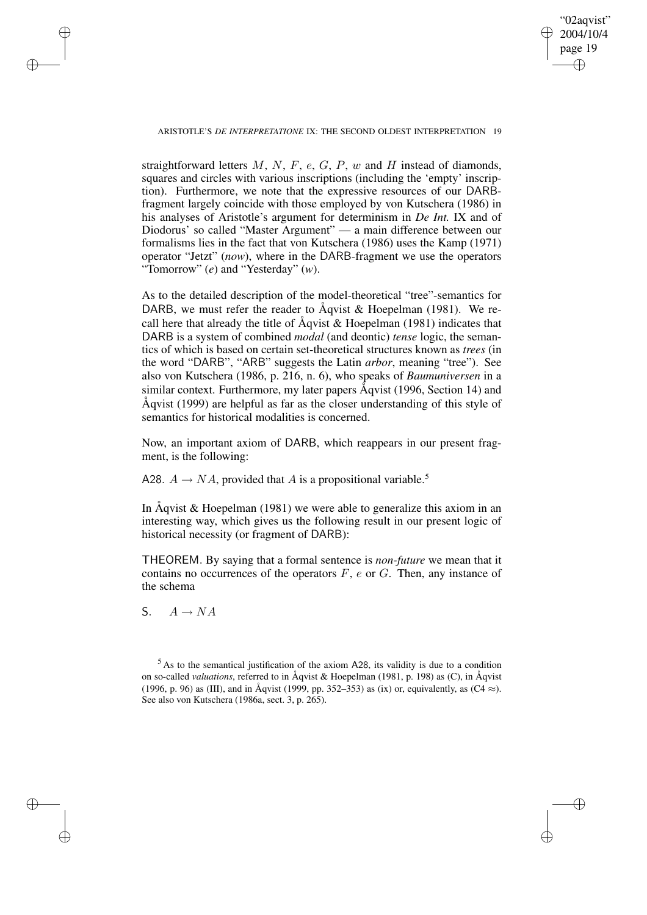✐

ARISTOTLE'S *DE INTERPRETATIONE* IX: THE SECOND OLDEST INTERPRETATION 19

straightforward letters  $M$ ,  $N$ ,  $F$ ,  $e$ ,  $G$ ,  $P$ ,  $w$  and  $H$  instead of diamonds, squares and circles with various inscriptions (including the 'empty' inscription). Furthermore, we note that the expressive resources of our DARBfragment largely coincide with those employed by von Kutschera (1986) in his analyses of Aristotle's argument for determinism in *De Int.* IX and of Diodorus' so called "Master Argument" — a main difference between our formalisms lies in the fact that von Kutschera (1986) uses the Kamp (1971) operator "Jetzt" (*now*), where in the DARB-fragment we use the operators "Tomorrow" (*e*) and "Yesterday" (*w*).

As to the detailed description of the model-theoretical "tree"-semantics for DARB, we must refer the reader to Åqvist & Hoepelman (1981). We recall here that already the title of Åqvist & Hoepelman (1981) indicates that DARB is a system of combined *modal* (and deontic) *tense* logic, the semantics of which is based on certain set-theoretical structures known as *trees* (in the word "DARB", "ARB" suggests the Latin *arbor*, meaning "tree"). See also von Kutschera (1986, p. 216, n. 6), who speaks of *Baumuniversen* in a similar context. Furthermore, my later papers Åqvist (1996, Section 14) and Åqvist (1999) are helpful as far as the closer understanding of this style of semantics for historical modalities is concerned.

Now, an important axiom of DARB, which reappears in our present fragment, is the following:

A28.  $A \rightarrow NA$ , provided that A is a propositional variable.<sup>5</sup>

In Åqvist & Hoepelman (1981) we were able to generalize this axiom in an interesting way, which gives us the following result in our present logic of historical necessity (or fragment of DARB):

THEOREM. By saying that a formal sentence is *non-future* we mean that it contains no occurrences of the operators  $F$ ,  $e$  or  $G$ . Then, any instance of the schema

S.  $A \rightarrow NA$ 

✐

✐

✐

 $<sup>5</sup>$  As to the semantical justification of the axiom A28, its validity is due to a condition</sup> on so-called *valuations*, referred to in Åqvist & Hoepelman (1981, p. 198) as (C), in Åqvist (1996, p. 96) as (III), and in Åqvist (1999, pp. 352–353) as (ix) or, equivalently, as (C4  $\approx$ ). See also von Kutschera (1986a, sect. 3, p. 265).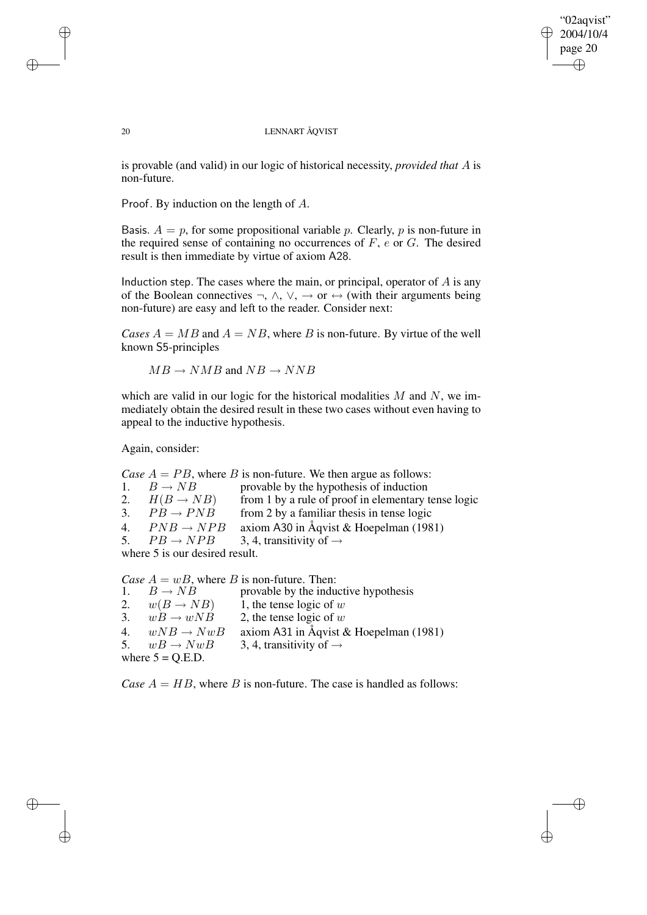"02aqvist" 2004/10/4 page 20 ✐ ✐

✐

✐

## 20 LENNART ÅQVIST

is provable (and valid) in our logic of historical necessity, *provided that* A is non-future.

Proof. By induction on the length of A.

Basis.  $A = p$ , for some propositional variable p. Clearly, p is non-future in the required sense of containing no occurrences of  $F$ ,  $e$  or  $G$ . The desired result is then immediate by virtue of axiom A28.

Induction step. The cases where the main, or principal, operator of  $A$  is any of the Boolean connectives  $\neg$ ,  $\wedge$ ,  $\vee$ ,  $\rightarrow$  or  $\leftrightarrow$  (with their arguments being non-future) are easy and left to the reader. Consider next:

*Cases*  $A = MB$  and  $A = NB$ , where B is non-future. By virtue of the well known S5-principles

 $MB \rightarrow NMB$  and  $NB \rightarrow NNB$ 

which are valid in our logic for the historical modalities  $M$  and  $N$ , we immediately obtain the desired result in these two cases without even having to appeal to the inductive hypothesis.

Again, consider:

*Case*  $A = PB$ , where *B* is non-future. We then argue as follows:<br>1.  $B \rightarrow NB$  provable by the hypothesis of induction 1.  $B \rightarrow NB$  provable by the hypothesis of induction<br>2.  $H(B \rightarrow NB)$  from 1 by a rule of proof in elementary t from 1 by a rule of proof in elementary tense logic 3.  $PB \rightarrow PNB$  from 2 by a familiar thesis in tense logic 4.  $P NB \rightarrow NPB$  axiom A30 in Åqvist & Hoepelman (1981)<br>5.  $PB \rightarrow NPB$  3.4, transitivity of  $\rightarrow$ 5.  $PB \rightarrow NPB$  3, 4, transitivity of  $\rightarrow$ where 5 is our desired result.

*Case*  $A = wB$ , where *B* is non-future. Then:<br>1.  $B \rightarrow NB$  provable by the indu 1.  $B \rightarrow NB$  provable by the inductive hypothesis<br>2.  $w(B \rightarrow NB)$  1, the tense logic of w 2.  $w(B \to NB)$  1, the tense logic of w<br>3.  $wB \to wNB$  2, the tense logic of w 2, the tense logic of  $w$ 4.  $wNB \rightarrow NwB$  axiom A31 in Åqvist & Hoepelman (1981) 5.  $wB \rightarrow NwB$  3, 4, transitivity of  $\rightarrow$ where  $5 = Q.E.D.$ 

*Case*  $A = HB$ , where B is non-future. The case is handled as follows:

✐

✐

✐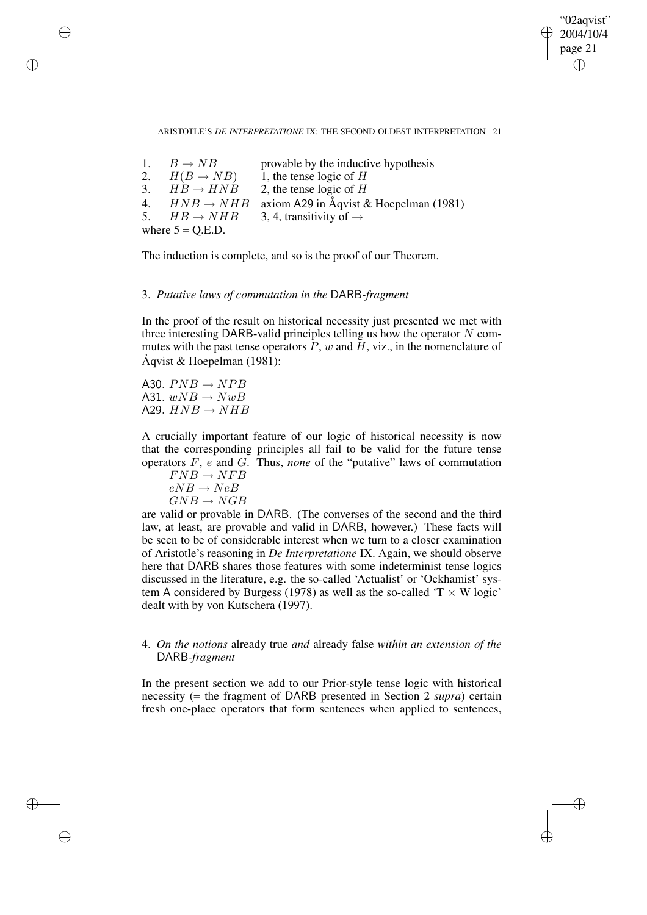"02aqvist" 2004/10/4 page 21 ✐ ✐

✐

#### ARISTOTLE'S *DE INTERPRETATIONE* IX: THE SECOND OLDEST INTERPRETATION 21

|    | 1. $B \rightarrow NB$   | provable by the inductive hypothesis        |
|----|-------------------------|---------------------------------------------|
|    | 2. $H(B \to NB)$        | 1, the tense logic of $H$                   |
|    | 3. $HB \rightarrow HNB$ | 2, the tense logic of $H$                   |
| 4. | $HNB \rightarrow NHB$   | axiom A29 in $\AA$ qvist & Hoepelman (1981) |
| 5. | $HB \rightarrow NHB$    | 3, 4, transitivity of $\rightarrow$         |
|    | where $5 = Q.E.D.$      |                                             |

The induction is complete, and so is the proof of our Theorem.

## 3. *Putative laws of commutation in the* DARB*-fragment*

In the proof of the result on historical necessity just presented we met with three interesting DARB-valid principles telling us how the operator  $N$  commutes with the past tense operators  $\tilde{P}$ , w and  $\tilde{H}$ , viz., in the nomenclature of Åqvist & Hoepelman (1981):

A30.  $PNB \rightarrow NPB$ A31.  $wNB \rightarrow NwB$ A29.  $HNB \rightarrow NHB$ 

✐

✐

✐

✐

A crucially important feature of our logic of historical necessity is now that the corresponding principles all fail to be valid for the future tense operators F, e and G. Thus, *none* of the "putative" laws of commutation

$$
FNB \rightarrow NFB
$$
  

$$
eNB \rightarrow NeB
$$
  

$$
GNB \rightarrow NGB
$$

are valid or provable in DARB. (The converses of the second and the third law, at least, are provable and valid in DARB, however.) These facts will be seen to be of considerable interest when we turn to a closer examination of Aristotle's reasoning in *De Interpretatione* IX. Again, we should observe here that DARB shares those features with some indeterminist tense logics discussed in the literature, e.g. the so-called 'Actualist' or 'Ockhamist' system A considered by Burgess (1978) as well as the so-called ' $T \times W$  logic' dealt with by von Kutschera (1997).

# 4. *On the notions* already true *and* already false *within an extension of the* DARB*-fragment*

In the present section we add to our Prior-style tense logic with historical necessity (= the fragment of DARB presented in Section 2 *supra*) certain fresh one-place operators that form sentences when applied to sentences,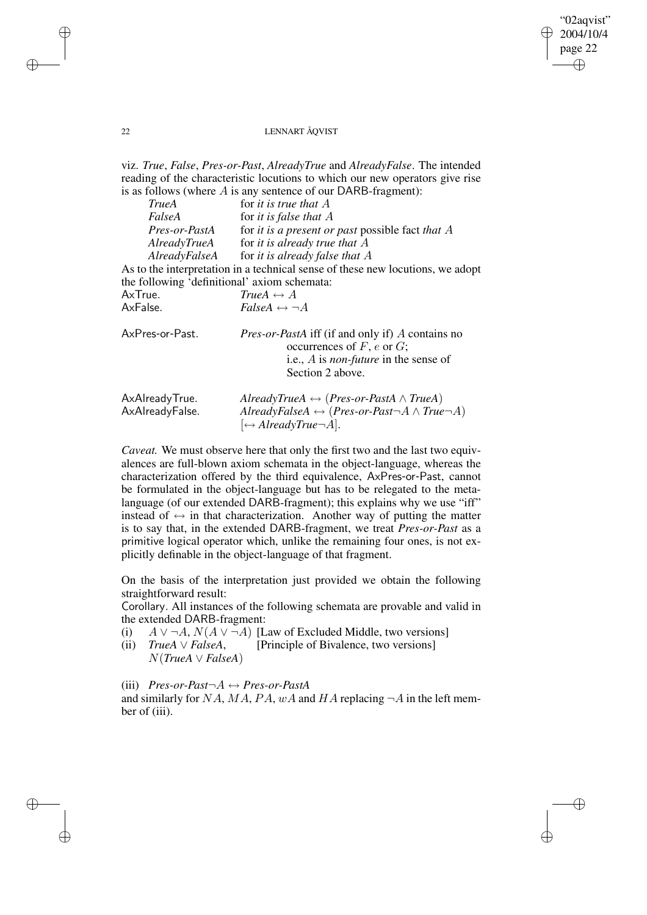✐

## 22 LENNART ÅQVIST

viz. *True*, *False*, *Pres-or-Past*, *AlreadyTrue* and *AlreadyFalse*. The intended reading of the characteristic locutions to which our new operators give rise is as follows (where  $A$  is any sentence of our DARB-fragment):

| <b>TrueA</b>                                 | for it is true that $A$                                                                    |
|----------------------------------------------|--------------------------------------------------------------------------------------------|
| FalseA                                       | for <i>it is false that</i> $A$                                                            |
| Pres-or-PastA                                | for it is a present or past possible fact that $A$                                         |
| AlreadyTrueA                                 | for it is already true that $A$                                                            |
|                                              | AlreadyFalseA for it is already false that $A$                                             |
|                                              | As to the interpretation in a technical sense of these new locutions, we adopt             |
| the following 'definitional' axiom schemata: |                                                                                            |
| AxTrue.                                      | TrueA $\leftrightarrow$ A                                                                  |
| AxFalse.                                     | $False A \leftrightarrow \neg A$                                                           |
| AxPres-or-Past.                              | <i>Pres-or-PastA</i> iff (if and only if) A contains no<br>occurrences of $F$ , e or $G$ ; |
|                                              | i.e., A is <i>non-future</i> in the sense of                                               |
|                                              | Section 2 above.                                                                           |
| AxAlreadyTrue.                               | AlreadyTrueA $\leftrightarrow$ (Pres-or-PastA $\land$ TrueA)                               |
| AxAlreadyFalse.                              | AlreadyFalseA $\leftrightarrow$ (Pres-or-Past $\neg A \wedge True \neg A$ )                |
|                                              | $\leftrightarrow$ AlreadyTrue $\neg$ A.                                                    |

*Caveat.* We must observe here that only the first two and the last two equivalences are full-blown axiom schemata in the object-language, whereas the characterization offered by the third equivalence, AxPres-or-Past, cannot be formulated in the object-language but has to be relegated to the metalanguage (of our extended DARB-fragment); this explains why we use "iff" instead of  $\leftrightarrow$  in that characterization. Another way of putting the matter is to say that, in the extended DARB-fragment, we treat *Pres-or-Past* as a primitive logical operator which, unlike the remaining four ones, is not explicitly definable in the object-language of that fragment.

On the basis of the interpretation just provided we obtain the following straightforward result:

Corollary. All instances of the following schemata are provable and valid in the extended DARB-fragment:

- (i)  $A \vee \neg A$ ,  $N(A \vee \neg A)$  [Law of Excluded Middle, two versions]
- (ii) *TrueA* ∨ *FalseA*, N(*TrueA* ∨ *FalseA*) [Principle of Bivalence, two versions]

(iii) *Pres-or-Past*¬A ↔ *Pres-or-PastA*

and similarly for NA, MA, PA, wA and HA replacing  $\neg A$  in the left member of (iii).

✐

✐

✐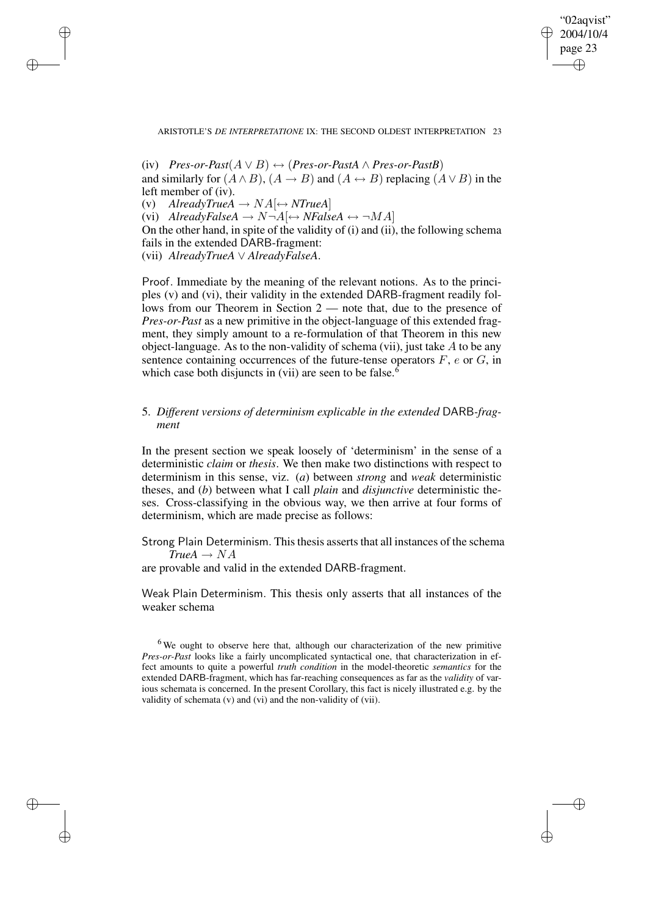"02aqvist" 2004/10/4 page 23 ✐ ✐

✐

✐

#### ARISTOTLE'S *DE INTERPRETATIONE* IX: THE SECOND OLDEST INTERPRETATION 23

✐

✐

✐

✐

(iv) *Pres-or-Past*(A ∨ B) ↔ (*Pres-or-PastA* ∧ *Pres-or-PastB*) and similarly for  $(A \wedge B)$ ,  $(A \rightarrow B)$  and  $(A \leftrightarrow B)$  replacing  $(A \vee B)$  in the left member of (iv). (v)  $\text{AlreadyTrue}$  $A \rightarrow \text{NA}$   $\leftrightarrow$  *NTrueA*] (vi) *AlreadyFalseA*  $\rightarrow$   $N\neg A$  $\leftrightarrow$   $NFA$ *lseA*  $\leftrightarrow \neg MA$ On the other hand, in spite of the validity of (i) and (ii), the following schema fails in the extended DARB-fragment: (vii) *AlreadyTrueA* ∨ *AlreadyFalseA*.

Proof. Immediate by the meaning of the relevant notions. As to the principles (v) and (vi), their validity in the extended DARB-fragment readily follows from our Theorem in Section 2 — note that, due to the presence of *Pres-or-Past* as a new primitive in the object-language of this extended fragment, they simply amount to a re-formulation of that Theorem in this new object-language. As to the non-validity of schema (vii), just take  $\vec{A}$  to be any sentence containing occurrences of the future-tense operators  $F$ ,  $e$  or  $G$ , in which case both disjuncts in (vii) are seen to be false.<sup>6</sup>

# 5. *Different versions of determinism explicable in the extended* DARB*-fragment*

In the present section we speak loosely of 'determinism' in the sense of a deterministic *claim* or *thesis*. We then make two distinctions with respect to determinism in this sense, viz. (*a*) between *strong* and *weak* deterministic theses, and (*b*) between what I call *plain* and *disjunctive* deterministic theses. Cross-classifying in the obvious way, we then arrive at four forms of determinism, which are made precise as follows:

Strong Plain Determinism. This thesis asserts that all instances of the schema  $True A \rightarrow NA$ 

are provable and valid in the extended DARB-fragment.

Weak Plain Determinism. This thesis only asserts that all instances of the weaker schema

 $6$  We ought to observe here that, although our characterization of the new primitive *Pres-or-Past* looks like a fairly uncomplicated syntactical one, that characterization in effect amounts to quite a powerful *truth condition* in the model-theoretic *semantics* for the extended DARB-fragment, which has far-reaching consequences as far as the *validity* of various schemata is concerned. In the present Corollary, this fact is nicely illustrated e.g. by the validity of schemata (v) and (vi) and the non-validity of (vii).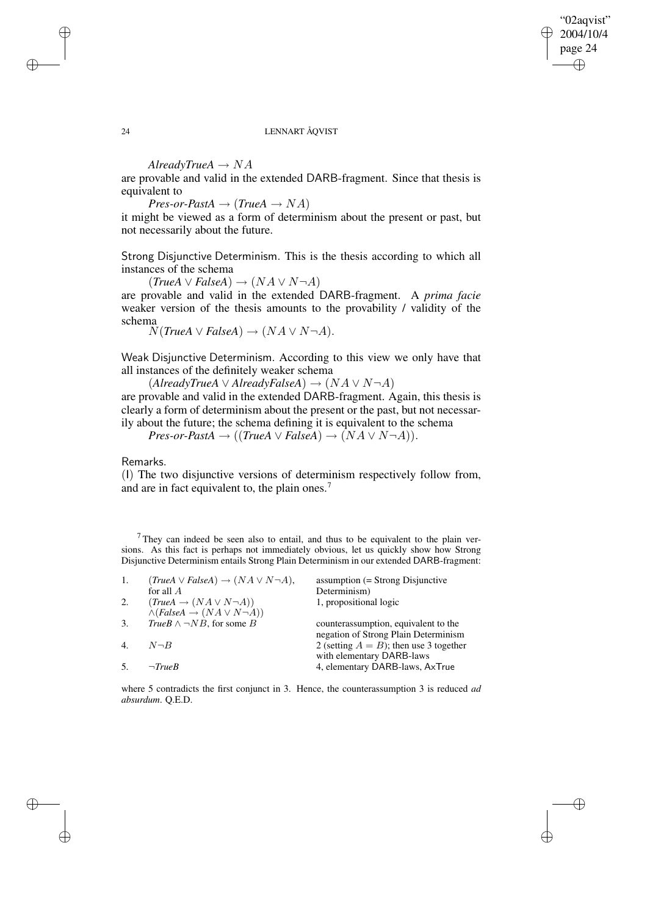✐

## 24 LENNART ÅQVIST

 $\textit{AlreadyTrue}$ *A*  $\rightarrow$  *NA* 

are provable and valid in the extended DARB-fragment. Since that thesis is equivalent to

 $Pres-or-PastA \rightarrow (TrueA \rightarrow NA)$ 

it might be viewed as a form of determinism about the present or past, but not necessarily about the future.

Strong Disjunctive Determinism. This is the thesis according to which all instances of the schema

 $(TrueA \vee FalseA) \rightarrow (NA \vee N \neg A)$ 

are provable and valid in the extended DARB-fragment. A *prima facie* weaker version of the thesis amounts to the provability / validity of the schema

 $N(TrueA \vee FalseA) \rightarrow (NA \vee N \neg A).$ 

Weak Disjunctive Determinism. According to this view we only have that all instances of the definitely weaker schema

 $(A \text{lready} \text{True} A \lor \text{Already} \text{False} A) \rightarrow (NA \lor N \neg A)$ are provable and valid in the extended DARB-fragment. Again, this thesis is clearly a form of determinism about the present or the past, but not necessarily about the future; the schema defining it is equivalent to the schema

 $Pres-or\text{-}FastA \rightarrow ((TrueA \vee FalseA) \rightarrow (NA \vee N\neg A)).$ 

Remarks.

(I) The two disjunctive versions of determinism respectively follow from, and are in fact equivalent to, the plain ones.<sup>7</sup>

 $7$ They can indeed be seen also to entail, and thus to be equivalent to the plain versions. As this fact is perhaps not immediately obvious, let us quickly show how Strong Disjunctive Determinism entails Strong Plain Determinism in our extended DARB-fragment:

| $(True A \vee False A) \rightarrow (NA \vee N \neg A),$ | $assumption (= Strong Disjunctive)$            |
|---------------------------------------------------------|------------------------------------------------|
| for all $\overline{A}$                                  | Determinism)                                   |
| $(True A \rightarrow (NA \vee N \neg A))$               | 1, propositional logic                         |
|                                                         |                                                |
| <i>TrueB</i> $\land \neg NB$ , for some <i>B</i>        | counterassumption, equivalent to the           |
|                                                         | negation of Strong Plain Determinism           |
| $N \neg B$                                              | 2 (setting $A = B$ ); then use 3 together      |
|                                                         | with elementary DARB-laws                      |
| $\neg TrueB$                                            | 4, elementary DARB-laws, AxTrue                |
|                                                         | $\land$ (FalseA $\rightarrow$ (NA $\lor$ N-A)) |

where 5 contradicts the first conjunct in 3. Hence, the counterassumption 3 is reduced *ad absurdum*. Q.E.D.

✐

✐

✐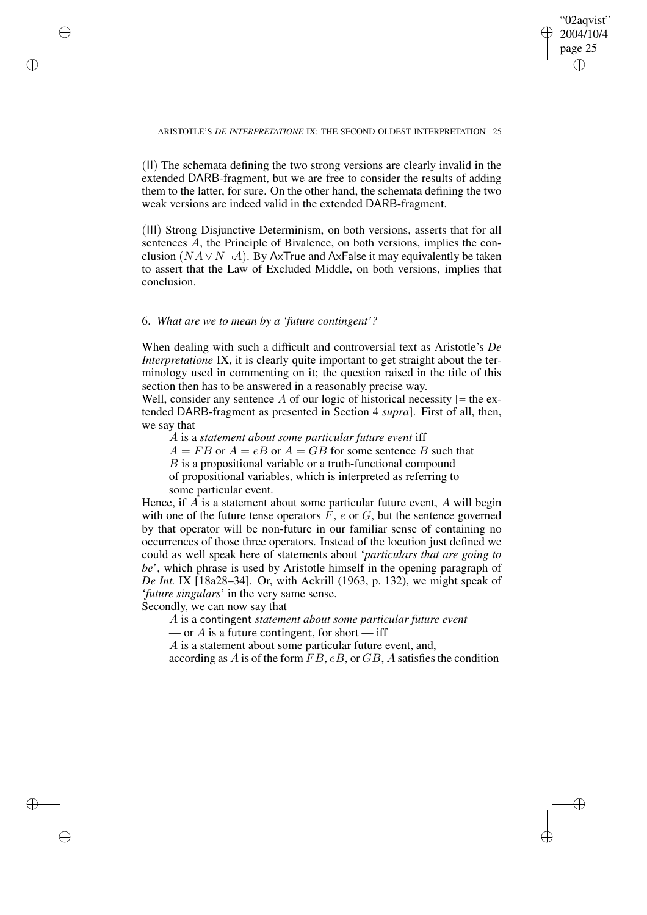"02aqvist" 2004/10/4 page 25 ✐ ✐

✐

✐

#### ARISTOTLE'S *DE INTERPRETATIONE* IX: THE SECOND OLDEST INTERPRETATION 25

(II) The schemata defining the two strong versions are clearly invalid in the extended DARB-fragment, but we are free to consider the results of adding them to the latter, for sure. On the other hand, the schemata defining the two weak versions are indeed valid in the extended DARB-fragment.

(III) Strong Disjunctive Determinism, on both versions, asserts that for all sentences A, the Principle of Bivalence, on both versions, implies the conclusion ( $NA \vee N \neg A$ ). By AxTrue and AxFalse it may equivalently be taken to assert that the Law of Excluded Middle, on both versions, implies that conclusion.

# 6. *What are we to mean by a 'future contingent'?*

✐

✐

✐

✐

When dealing with such a difficult and controversial text as Aristotle's *De Interpretatione* IX, it is clearly quite important to get straight about the terminology used in commenting on it; the question raised in the title of this section then has to be answered in a reasonably precise way.

Well, consider any sentence A of our logic of historical necessity  $[=$  the extended DARB-fragment as presented in Section 4 *supra*]. First of all, then, we say that

A is a *statement about some particular future event* iff

 $A = FB$  or  $A = eB$  or  $A = GB$  for some sentence B such that

B is a propositional variable or a truth-functional compound

of propositional variables, which is interpreted as referring to some particular event.

Hence, if  $A$  is a statement about some particular future event,  $A$  will begin with one of the future tense operators  $F$ ,  $e$  or  $G$ , but the sentence governed by that operator will be non-future in our familiar sense of containing no occurrences of those three operators. Instead of the locution just defined we could as well speak here of statements about '*particulars that are going to be*', which phrase is used by Aristotle himself in the opening paragraph of *De Int.* IX [18a28–34]. Or, with Ackrill (1963, p. 132), we might speak of '*future singulars*' in the very same sense.

Secondly, we can now say that

A is a contingent *statement about some particular future event*

— or A is a future contingent, for short — iff

A is a statement about some particular future event, and,

according as A is of the form  $FB$ ,  $eB$ , or  $GB$ , A satisfies the condition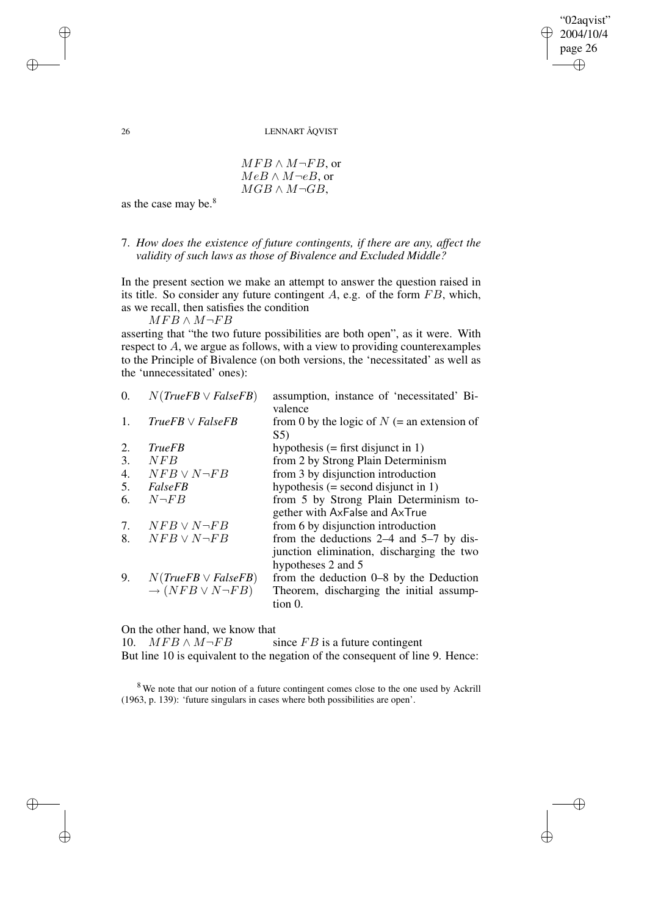"02aqvist" 2004/10/4 page 26 ✐ ✐

✐

✐

## 26 LENNART ÅQVIST

 $MFB \wedge M\neg FB$ , or  $MeB \wedge M \neg eB$ , or  $MGB \wedge M\neg GB$ ,

as the case may be.<sup>8</sup>

# 7. *How does the existence of future contingents, if there are any, affect the validity of such laws as those of Bivalence and Excluded Middle?*

In the present section we make an attempt to answer the question raised in its title. So consider any future contingent  $A$ , e.g. of the form  $FB$ , which, as we recall, then satisfies the condition

 $MFB \wedge M \neg FB$ 

asserting that "the two future possibilities are both open", as it were. With respect to A, we argue as follows, with a view to providing counterexamples to the Principle of Bivalence (on both versions, the 'necessitated' as well as the 'unnecessitated' ones):

| 0. | $N(TrueFB \vee FalseFB)$           | assumption, instance of 'necessitated' Bi-<br>valence |
|----|------------------------------------|-------------------------------------------------------|
| 1. | $TrueFB \vee FalseFB$              | from 0 by the logic of $N$ (= an extension of         |
|    |                                    | S5)                                                   |
| 2. | <b>TrueFB</b>                      | hypothesis $(=\text{first }$ disjunct in 1)           |
| 3. | NFB                                | from 2 by Strong Plain Determinism                    |
| 4. | $NFB \vee N\neg FB$                | from 3 by disjunction introduction                    |
| 5. | <i>FalseFB</i>                     | hypothesis $(=$ second disjunct in 1)                 |
| 6. | $N\neg FB$                         | from 5 by Strong Plain Determinism to-                |
|    |                                    | gether with AxFalse and AxTrue                        |
| 7. | $NFB \vee N \neg FB$               | from 6 by disjunction introduction                    |
| 8. | $NFB \vee N\neg FB$                | from the deductions $2-4$ and $5-7$ by dis-           |
|    |                                    | junction elimination, discharging the two             |
|    |                                    | hypotheses 2 and 5                                    |
| 9. | $N(TrueFB \vee FalseFB)$           | from the deduction 0–8 by the Deduction               |
|    | $\rightarrow (NFB \vee N \neg FB)$ | Theorem, discharging the initial assump-              |
|    |                                    | tion 0.                                               |
|    |                                    |                                                       |

On the other hand, we know that<br>10.  $MFB \wedge M \neg FB$  s

since  $FB$  is a future contingent But line 10 is equivalent to the negation of the consequent of line 9. Hence:

<sup>8</sup> We note that our notion of a future contingent comes close to the one used by Ackrill (1963, p. 139): 'future singulars in cases where both possibilities are open'.

✐

✐

✐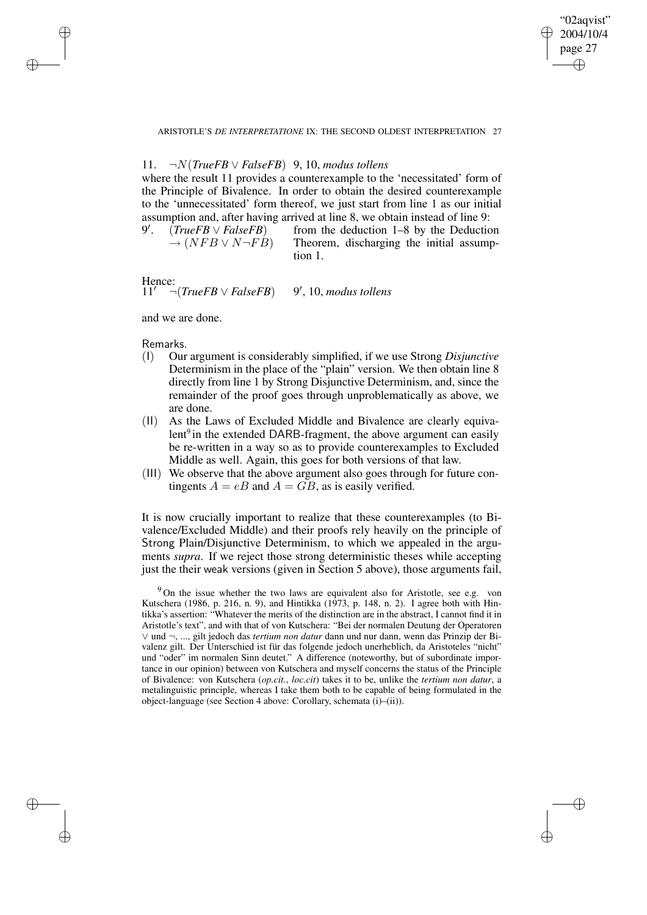✐

ARISTOTLE'S *DE INTERPRETATIONE* IX: THE SECOND OLDEST INTERPRETATION 27

# 11. ¬N(*TrueFB* ∨ *FalseFB*) 9, 10, *modus tollens*

where the result 11 provides a counterexample to the 'necessitated' form of the Principle of Bivalence. In order to obtain the desired counterexample to the 'unnecessitated' form thereof, we just start from line 1 as our initial assumption and, after having arrived at line 8, we obtain instead of line 9:

9 0 . (*TrueFB* ∨ *FalseFB*)  $\rightarrow (NFB \vee N\neg FB)$ from the deduction 1–8 by the Deduction Theorem, discharging the initial assumption 1.

Hence:<br> $11'$  $\neg$ (*TrueFB*  $\lor$  *FalseFB*) 0 , 10, *modus tollens*

and we are done.

Remarks.

✐

✐

✐

✐

- (I) Our argument is considerably simplified, if we use Strong *Disjunctive* Determinism in the place of the "plain" version. We then obtain line 8 directly from line 1 by Strong Disjunctive Determinism, and, since the remainder of the proof goes through unproblematically as above, we are done.
- (II) As the Laws of Excluded Middle and Bivalence are clearly equivalent<sup>9</sup> in the extended DARB-fragment, the above argument can easily be re-written in a way so as to provide counterexamples to Excluded Middle as well. Again, this goes for both versions of that law.
- (III) We observe that the above argument also goes through for future contingents  $A = eB$  and  $A = GB$ , as is easily verified.

It is now crucially important to realize that these counterexamples (to Bivalence/Excluded Middle) and their proofs rely heavily on the principle of Strong Plain/Disjunctive Determinism, to which we appealed in the arguments *supra*. If we reject those strong deterministic theses while accepting just the their weak versions (given in Section 5 above), those arguments fail,

<sup>9</sup> On the issue whether the two laws are equivalent also for Aristotle, see e.g. von Kutschera (1986, p. 216, n. 9), and Hintikka (1973, p. 148, n. 2). I agree both with Hintikka's assertion: "Whatever the merits of the distinction are in the abstract, I cannot find it in Aristotle's text", and with that of von Kutschera: "Bei der normalen Deutung der Operatoren ∨ und ¬, ..., gilt jedoch das *tertium non datur* dann und nur dann, wenn das Prinzip der Bivalenz gilt. Der Unterschied ist für das folgende jedoch unerheblich, da Aristoteles "nicht" und "oder" im normalen Sinn deutet." A difference (noteworthy, but of subordinate importance in our opinion) between von Kutschera and myself concerns the status of the Principle of Bivalence: von Kutschera (*op.cit.*, *loc.cit*) takes it to be, unlike the *tertium non datur*, a metalinguistic principle, whereas I take them both to be capable of being formulated in the object-language (see Section 4 above: Corollary, schemata (i)–(ii)).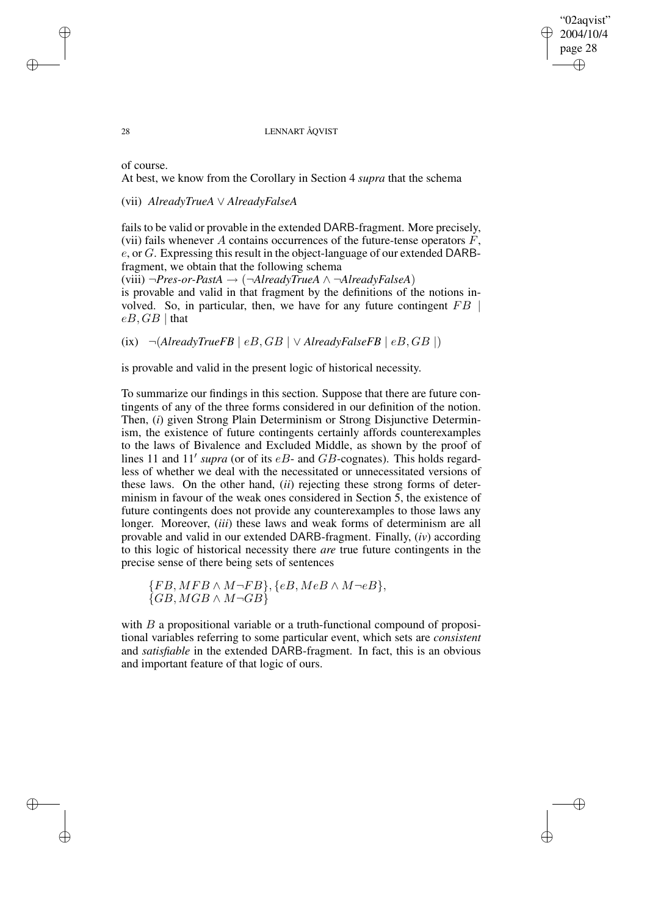#### 28 LENNART ÅQVIST

"02aqvist" 2004/10/4 page 28

✐

✐

✐

✐

of course.

 $eB$ ,  $GB$  | that

At best, we know from the Corollary in Section 4 *supra* that the schema

(vii) *AlreadyTrueA* ∨ *AlreadyFalseA*

fails to be valid or provable in the extended DARB-fragment. More precisely, (vii) fails whenever A contains occurrences of the future-tense operators  $F$ , e, or G. Expressing this result in the object-language of our extended DARBfragment, we obtain that the following schema

(viii) ¬*Pres-or-PastA* → (¬*AlreadyTrueA* ∧ ¬*AlreadyFalseA*) is provable and valid in that fragment by the definitions of the notions involved. So, in particular, then, we have for any future contingent  $FB$ 

(ix)  $\neg$ (*AlreadyTrueFB* | *eB*, *GB* | ∨ *AlreadyFalseFB* | *eB*, *GB* |)

is provable and valid in the present logic of historical necessity.

To summarize our findings in this section. Suppose that there are future contingents of any of the three forms considered in our definition of the notion. Then, (*i*) given Strong Plain Determinism or Strong Disjunctive Determinism, the existence of future contingents certainly affords counterexamples to the laws of Bivalence and Excluded Middle, as shown by the proof of lines 11 and 11' supra (or of its  $eB$ - and  $GB$ -cognates). This holds regardless of whether we deal with the necessitated or unnecessitated versions of these laws. On the other hand, (*ii*) rejecting these strong forms of determinism in favour of the weak ones considered in Section 5, the existence of future contingents does not provide any counterexamples to those laws any longer. Moreover, *(iii)* these laws and weak forms of determinism are all provable and valid in our extended DARB-fragment. Finally, (*iv*) according to this logic of historical necessity there *are* true future contingents in the precise sense of there being sets of sentences

 ${FB, MFB \wedge M \neg FB}, {eB, MeB \wedge M \neg eB},$  $\{GB, MGB \wedge M\neg GB\}$ 

with  $B$  a propositional variable or a truth-functional compound of propositional variables referring to some particular event, which sets are *consistent* and *satisfiable* in the extended DARB-fragment. In fact, this is an obvious and important feature of that logic of ours.

✐

✐

✐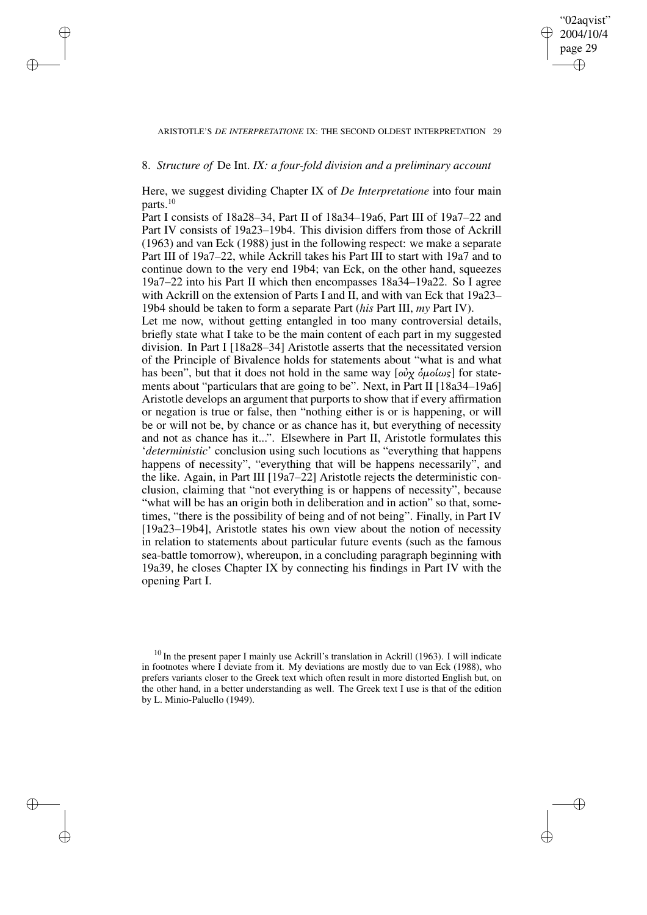## "02aqvist" 2004/10/4 page 29 ✐ ✐

✐

✐

#### ARISTOTLE'S *DE INTERPRETATIONE* IX: THE SECOND OLDEST INTERPRETATION 29

## 8. *Structure of* De Int. *IX: a four-fold division and a preliminary account*

 $\rightarrow$ 

 $\rightarrow$ 

✐

✐

Here, we suggest dividing Chapter IX of *De Interpretatione* into four main parts.<sup>10</sup>

Part I consists of 18a28–34, Part II of 18a34–19a6, Part III of 19a7–22 and Part IV consists of 19a23–19b4. This division differs from those of Ackrill (1963) and van Eck (1988) just in the following respect: we make a separate Part III of 19a7–22, while Ackrill takes his Part III to start with 19a7 and to continue down to the very end 19b4; van Eck, on the other hand, squeezes 19a7–22 into his Part II which then encompasses 18a34–19a22. So I agree with Ackrill on the extension of Parts I and II, and with van Eck that 19a23– 19b4 should be taken to form a separate Part (*his* Part III, *my* Part IV).

Let me now, without getting entangled in too many controversial details, briefly state what I take to be the main content of each part in my suggested division. In Part I [18a28–34] Aristotle asserts that the necessitated version of the Principle of Bivalence holds for statements about "what is and what has been", but that it does not hold in the same way  $[\omega \chi \delta \mu \omega \omega \sigma]$  for statements about "particulars that are going to be". Next, in Part II [18a34–19a6] Aristotle develops an argument that purports to show that if every affirmation or negation is true or false, then "nothing either is or is happening, or will be or will not be, by chance or as chance has it, but everything of necessity and not as chance has it...". Elsewhere in Part II, Aristotle formulates this '*deterministic*' conclusion using such locutions as "everything that happens happens of necessity", "everything that will be happens necessarily", and the like. Again, in Part III [19a7–22] Aristotle rejects the deterministic conclusion, claiming that "not everything is or happens of necessity", because "what will be has an origin both in deliberation and in action" so that, sometimes, "there is the possibility of being and of not being". Finally, in Part IV [19a23–19b4], Aristotle states his own view about the notion of necessity in relation to statements about particular future events (such as the famous sea-battle tomorrow), whereupon, in a concluding paragraph beginning with 19a39, he closes Chapter IX by connecting his findings in Part IV with the opening Part I.

 $10$  In the present paper I mainly use Ackrill's translation in Ackrill (1963). I will indicate in footnotes where I deviate from it. My deviations are mostly due to van Eck (1988), who prefers variants closer to the Greek text which often result in more distorted English but, on the other hand, in a better understanding as well. The Greek text I use is that of the edition by L. Minio-Paluello (1949).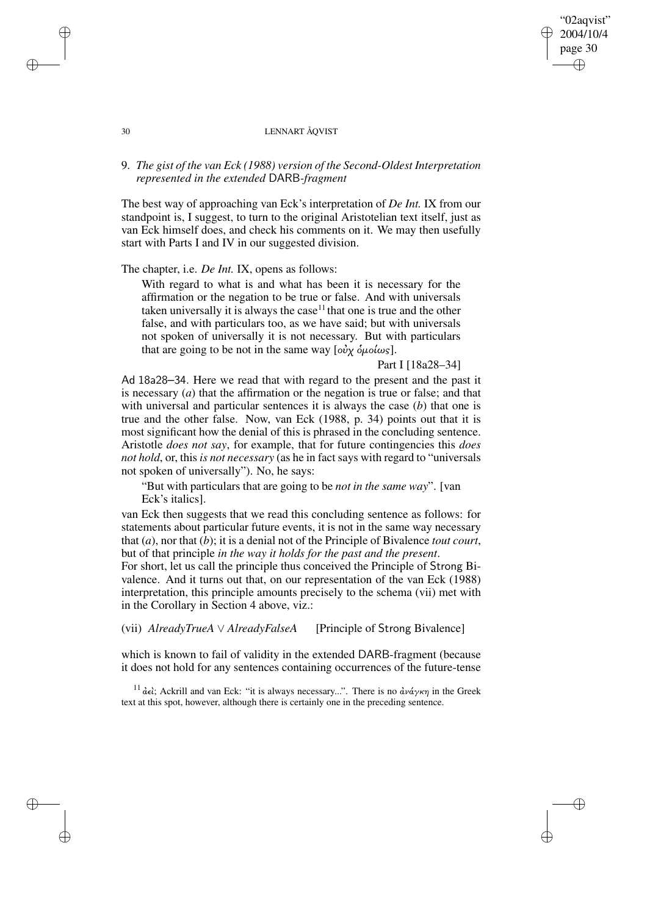#### 30 LENNART ÅQVIST

# 9. *The gist of the van Eck (1988) version of the Second-Oldest Interpretation represented in the extended* DARB*-fragment*

The best way of approaching van Eck's interpretation of *De Int.* IX from our standpoint is, I suggest, to turn to the original Aristotelian text itself, just as van Eck himself does, and check his comments on it. We may then usefully start with Parts I and IV in our suggested division.

The chapter, i.e. *De Int.* IX, opens as follows:

With regard to what is and what has been it is necessary for the affirmation or the negation to be true or false. And with universals taken universally it is always the case<sup>11</sup> that one is true and the other false, and with particulars too, as we have said; but with universals not spoken of universally it is not necessary. But with particulars that are going to be not in the same way  $[o\partial\chi\ \delta\mu o/\omega_s]$ .

## Part I [18a28-34]

"02aqvist" 2004/10/4 page 30

✐

✐

✐

✐

Ad 18a28–34. Here we read that with regard to the present and the past it is necessary (*a*) that the affirmation or the negation is true or false; and that with universal and particular sentences it is always the case (*b*) that one is true and the other false. Now, van Eck (1988, p. 34) points out that it is most significant how the denial of this is phrased in the concluding sentence. Aristotle *does not say*, for example, that for future contingencies this *does not hold*, or, this *is not necessary* (as he in fact says with regard to "universals not spoken of universally"). No, he says:

"But with particulars that are going to be *not in the same way*". [van Eck's italics].

van Eck then suggests that we read this concluding sentence as follows: for statements about particular future events, it is not in the same way necessary that (*a*), nor that (*b*); it is a denial not of the Principle of Bivalence *tout court*, but of that principle *in the way it holds for the past and the present*.

For short, let us call the principle thus conceived the Principle of Strong Bivalence. And it turns out that, on our representation of the van Eck (1988) interpretation, this principle amounts precisely to the schema (vii) met with in the Corollary in Section 4 above, viz.:

(vii) *AlreadyTrueA* ∨ *AlreadyFalseA* [Principle of Strong Bivalence]

which is known to fail of validity in the extended DARB-fragment (because it does not hold for any sentences containing occurrences of the future-tense

<sup>11</sup> άελ; Ackrill and van Eck: "it is always necessary...". There is no  $\frac{\partial u}{\partial x}$  in the Greek text at this spot, however, although there is certainly one in the preceding sentence.

 $\rightarrow$ 

 $\rightarrow$ 

✐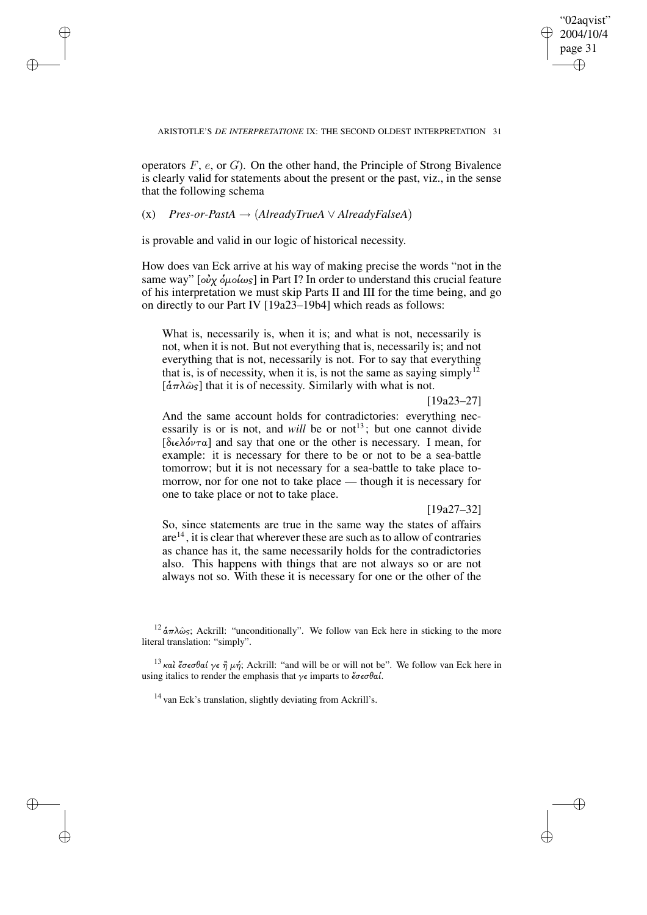✐

#### ARISTOTLE'S *DE INTERPRETATIONE* IX: THE SECOND OLDEST INTERPRETATION 31

operators  $F$ ,  $e$ , or  $G$ ). On the other hand, the Principle of Strong Bivalence is clearly valid for statements about the present or the past, viz., in the sense that the following schema

# (x) *Pres-or-PastA* → (*AlreadyTrueA* ∨ *AlreadyFalseA*)

 $\rightarrow$ 

 $\rightarrow$ 

✐

✐

is provable and valid in our logic of historical necessity.

How does van Eck arrive at his way of making precise the words "not in the same way" [ $o\dot{v}$ χ  $\dot{o}$ μοίως] in Part I? In order to understand this crucial feature of his interpretation we must skip Parts II and III for the time being, and go on directly to our Part IV [19a23–19b4] which reads as follows:

What is, necessarily is, when it is; and what is not, necessarily is not, when it is not. But not everything that is, necessarily is; and not everything that is not, necessarily is not. For to say that everything that is, is of necessity, when it is, is not the same as saying simply<sup>12</sup>  $[\hat{\alpha}\pi\lambda\hat{\omega}_s]$  that it is of necessity. Similarly with what is not.

#### [19a23–27]

And the same account holds for contradictories: everything necessarily is or is not, and *will* be or not<sup>13</sup>; but one cannot divide [διελόντα] and say that one or the other is necessary. I mean, for example: it is necessary for there to be or not to be a sea-battle tomorrow; but it is not necessary for a sea-battle to take place tomorrow, nor for one not to take place — though it is necessary for one to take place or not to take place.

## [19a27–32]

So, since statements are true in the same way the states of affairs are<sup>14</sup>, it is clear that wherever these are such as to allow of contraries as chance has it, the same necessarily holds for the contradictories also. This happens with things that are not always so or are not always not so. With these it is necessary for one or the other of the

<sup>14</sup> van Eck's translation, slightly deviating from Ackrill's.

<sup>&</sup>lt;sup>12</sup>  $\dot{\alpha}\pi\lambda\hat{\omega}s$ ; Ackrill: "unconditionally". We follow van Eck here in sticking to the more literal translation: "simply".

<sup>&</sup>lt;sup>13</sup> και έσεσθαί γε η μή; Ackrill: "and will be or will not be". We follow van Eck here in using italics to render the emphasis that  $\gamma \epsilon$  imparts to  $\zeta \sigma \epsilon \sigma \theta \alpha'$ .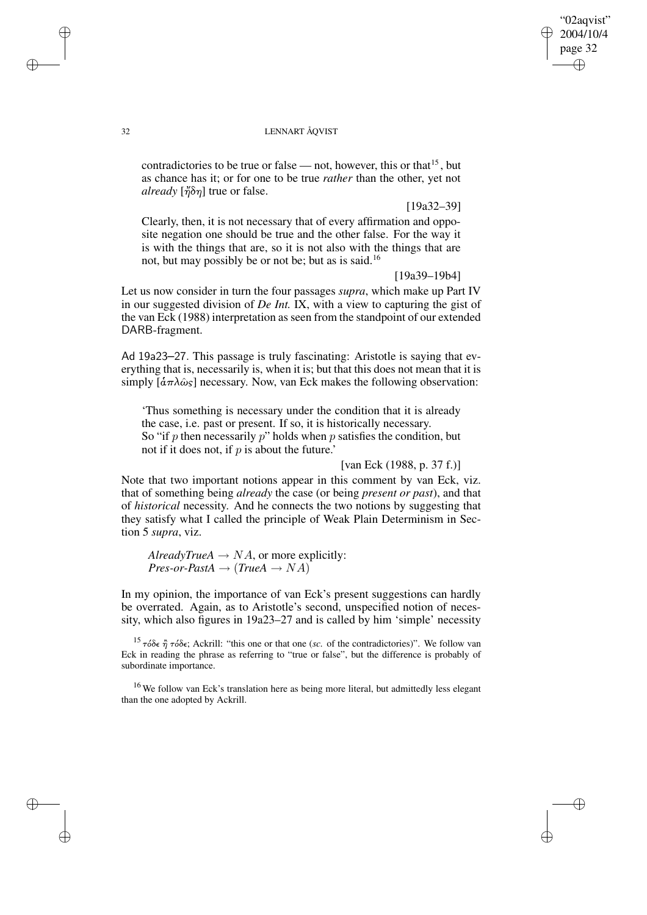# "02aqvist" 2004/10/4 page 32 ✐ ✐

✐

✐

## 32 LENNART ÅQVIST

contradictories to be true or false — not, however, this or that<sup>15</sup>, but as chance has it; or for one to be true *rather* than the other, yet not *already* [½δη] true or false.

[19a32–39]

Clearly, then, it is not necessary that of every affirmation and opposite negation one should be true and the other false. For the way it is with the things that are, so it is not also with the things that are not, but may possibly be or not be; but as is said.<sup>16</sup>

[19a39–19b4]

Let us now consider in turn the four passages *supra*, which make up Part IV in our suggested division of *De Int.* IX, with a view to capturing the gist of the van Eck (1988) interpretation as seen from the standpoint of our extended DARB-fragment.

Ad 19a23–27. This passage is truly fascinating: Aristotle is saying that everything that is, necessarily is, when it is; but that this does not mean that it is simply  $[\hat{\alpha}\pi\lambda\hat{\omega}_s]$  necessary. Now, van Eck makes the following observation:

'Thus something is necessary under the condition that it is already the case, i.e. past or present. If so, it is historically necessary. So "if p then necessarily p" holds when p satisfies the condition, but not if it does not, if  $p$  is about the future.'

[van Eck (1988, p. 37 f.)]

Note that two important notions appear in this comment by van Eck, viz. that of something being *already* the case (or being *present or past*), and that of *historical* necessity. And he connects the two notions by suggesting that they satisfy what I called the principle of Weak Plain Determinism in Section 5 *supra*, viz.

*AlreadyTrueA*  $\rightarrow NA$ , or more explicitly:  $Pres-or-PastA \rightarrow (TrueA \rightarrow NA)$ 

In my opinion, the importance of van Eck's present suggestions can hardly be overrated. Again, as to Aristotle's second, unspecified notion of necessity, which also figures in 19a23–27 and is called by him 'simple' necessity

<sup>15</sup> τόδε η τόδε; Ackrill: "this one or that one (*sc.* of the contradictories)". We follow van Eck in reading the phrase as referring to "true or false", but the difference is probably of subordinate importance.

<sup>16</sup> We follow van Eck's translation here as being more literal, but admittedly less elegant than the one adopted by Ackrill.

 $\rightarrow$ 

 $\rightarrow$ 

✐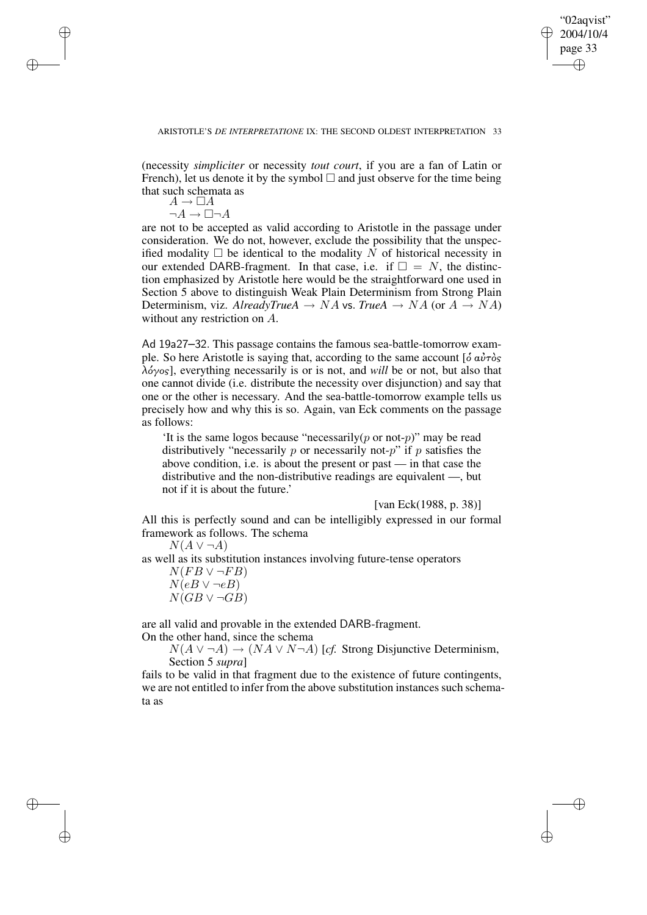✐

(necessity *simpliciter* or necessity *tout court*, if you are a fan of Latin or French), let us denote it by the symbol  $\Box$  and just observe for the time being that such schemata as

 $A \to \Box A$  $\neg A \rightarrow \Box \neg A$ 

 $\rightarrow$ 

 $\rightarrow$ 

✐

✐

are not to be accepted as valid according to Aristotle in the passage under consideration. We do not, however, exclude the possibility that the unspecified modality  $\Box$  be identical to the modality N of historical necessity in our extended DARB-fragment. In that case, i.e. if  $\square = N$ , the distinction emphasized by Aristotle here would be the straightforward one used in Section 5 above to distinguish Weak Plain Determinism from Strong Plain Determinism, viz. *AlreadyTrueA*  $\rightarrow$  *NA* vs. *TrueA*  $\rightarrow$  *NA* (or *A*  $\rightarrow$  *NA*) without any restriction on A.

Ad 19a27–32. This passage contains the famous sea-battle-tomorrow example. So here Aristotle is saying that, according to the same account  $\left[\delta \vec{a} \vec{v} \tau \delta s\right]$ λόγος], everything necessarily is or is not, and *will* be or not, but also that one cannot divide (i.e. distribute the necessity over disjunction) and say that one or the other is necessary. And the sea-battle-tomorrow example tells us precisely how and why this is so. Again, van Eck comments on the passage as follows:

'It is the same logos because "necessarily( $p$  or not- $p$ )" may be read distributively "necessarily  $p$  or necessarily not- $p$ " if  $p$  satisfies the above condition, i.e. is about the present or past — in that case the distributive and the non-distributive readings are equivalent —, but not if it is about the future.'

[van Eck(1988, p. 38)]

All this is perfectly sound and can be intelligibly expressed in our formal framework as follows. The schema

 $N(A \vee \neg A)$ 

as well as its substitution instances involving future-tense operators

 $N(FB \vee \neg FB)$  $N(eB \vee \neg eB)$ 

 $N(GB \vee \neg GB)$ 

are all valid and provable in the extended DARB-fragment.

On the other hand, since the schema

 $N(A \vee \neg A) \rightarrow (NA \vee N \neg A)$  [*cf.* Strong Disjunctive Determinism, Section 5 *supra*]

fails to be valid in that fragment due to the existence of future contingents, we are not entitled to infer from the above substitution instances such schemata as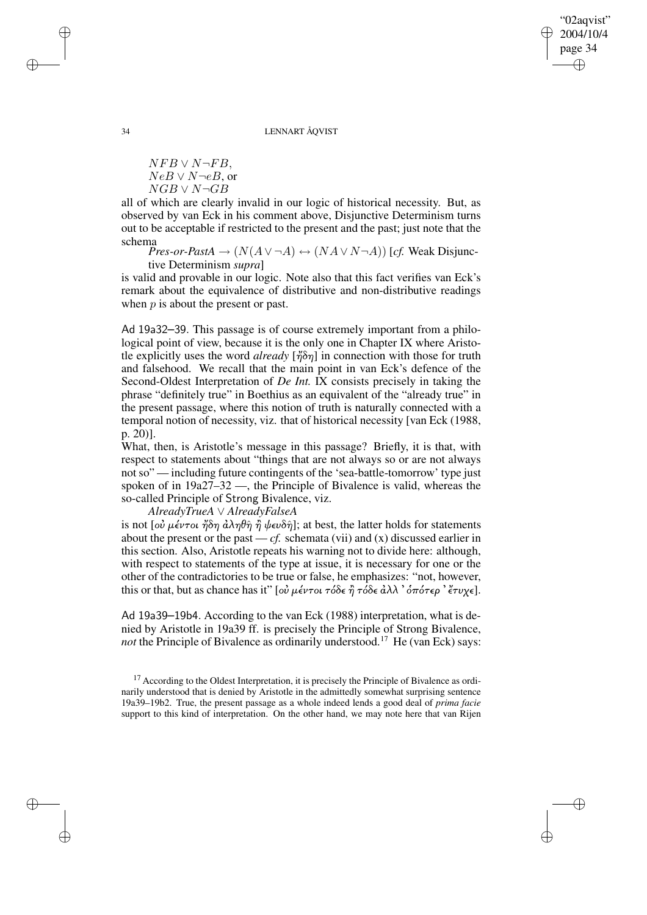"02aqvist" 2004/10/4 page 34 ✐ ✐

✐

✐

34 LENNART ÅQVIST

 $NFB \vee N\neg FB$ .  $NeB \vee N\neg eB$ , or  $NGB \vee N\neg GB$ 

all of which are clearly invalid in our logic of historical necessity. But, as observed by van Eck in his comment above, Disjunctive Determinism turns out to be acceptable if restricted to the present and the past; just note that the schema

*Pres-or-PastA*  $\rightarrow (N(A \lor \neg A) \leftrightarrow (NA \lor N \neg A))$  [*cf.* Weak Disjunctive Determinism *supra*]

is valid and provable in our logic. Note also that this fact verifies van Eck's remark about the equivalence of distributive and non-distributive readings when  $p$  is about the present or past.

Ad 19a32–39. This passage is of course extremely important from a philological point of view, because it is the only one in Chapter IX where Aristotle explicitly uses the word *already*  $[\eta \delta \eta]$  in connection with those for truth and falsehood. We recall that the main point in van Eck's defence of the Second-Oldest Interpretation of *De Int.* IX consists precisely in taking the phrase "definitely true" in Boethius as an equivalent of the "already true" in the present passage, where this notion of truth is naturally connected with a temporal notion of necessity, viz. that of historical necessity [van Eck (1988, p. 20)].

What, then, is Aristotle's message in this passage? Briefly, it is that, with respect to statements about "things that are not always so or are not always not so" — including future contingents of the 'sea-battle-tomorrow' type just spoken of in 19a27–32 —, the Principle of Bivalence is valid, whereas the so-called Principle of Strong Bivalence, viz.

*AlreadyTrueA* ∨ *AlreadyFalseA*

is not [οὐ μέντοι ἤδη ἀληθῆ ἢ ψευδῆ]; at best, the latter holds for statements about the present or the past  $-cf$ , schemata (vii) and (x) discussed earlier in this section. Also, Aristotle repeats his warning not to divide here: although, with respect to statements of the type at issue, it is necessary for one or the other of the contradictories to be true or false, he emphasizes: "not, however, this or that, but as chance has it" [οὐ μέντοι τόδε ή τόδε άλλ ' όπότερ ' ἔτυχε].

Ad 19a39–19b4. According to the van Eck (1988) interpretation, what is denied by Aristotle in 19a39 ff. is precisely the Principle of Strong Bivalence, *not* the Principle of Bivalence as ordinarily understood.<sup>17</sup> He (van Eck) says:

 $\rightarrow$ 

 $\rightarrow$ 

✐

 $17$  According to the Oldest Interpretation, it is precisely the Principle of Bivalence as ordinarily understood that is denied by Aristotle in the admittedly somewhat surprising sentence 19a39–19b2. True, the present passage as a whole indeed lends a good deal of *prima facie* support to this kind of interpretation. On the other hand, we may note here that van Rijen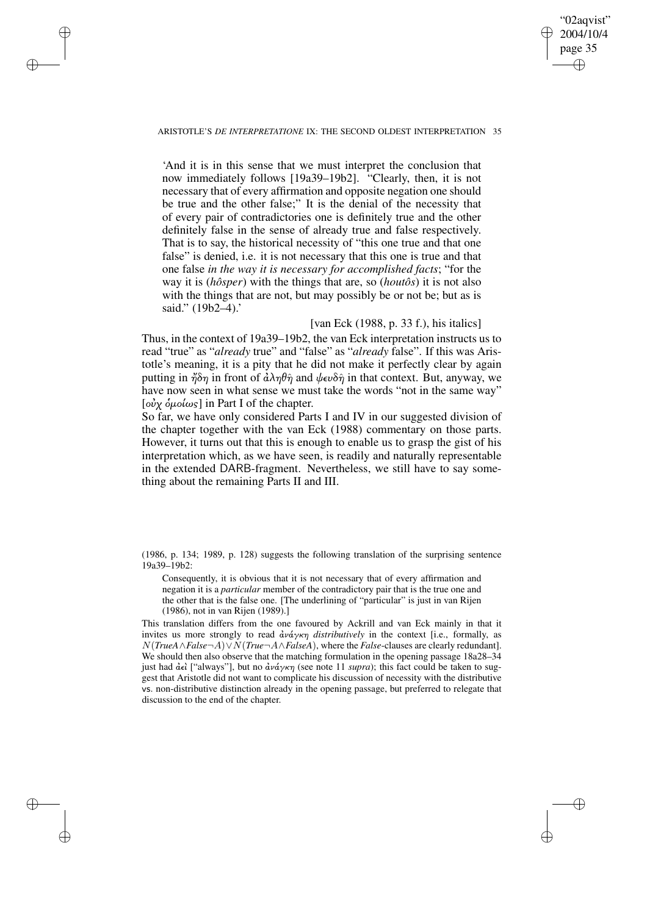# "02aqvist" 2004/10/4 page 35 ✐ ✐

✐

✐

#### ARISTOTLE'S *DE INTERPRETATIONE* IX: THE SECOND OLDEST INTERPRETATION 35

 $\rightarrow$ 

 $\rightarrow$ 

✐

✐

'And it is in this sense that we must interpret the conclusion that now immediately follows [19a39–19b2]. "Clearly, then, it is not necessary that of every affirmation and opposite negation one should be true and the other false;" It is the denial of the necessity that of every pair of contradictories one is definitely true and the other definitely false in the sense of already true and false respectively. That is to say, the historical necessity of "this one true and that one false" is denied, i.e. it is not necessary that this one is true and that one false *in the way it is necessary for accomplished facts*; "for the way it is (*hôsper*) with the things that are, so (*houtôs*) it is not also with the things that are not, but may possibly be or not be; but as is said." (19b2-4).'

# [van Eck (1988, p. 33 f.), his italics]

Thus, in the context of 19a39–19b2, the van Eck interpretation instructs us to read "true" as "*already* true" and "false" as "*already* false". If this was Aristotle's meaning, it is a pity that he did not make it perfectly clear by again putting in  $\eta \delta \eta$  in front of  $\partial \lambda \eta \theta \hat{\eta}$  and  $\partial \epsilon \partial \eta$  in that context. But, anyway, we have now seen in what sense we must take the words "not in the same way" [οὐχ όμοίως] in Part I of the chapter.

So far, we have only considered Parts I and IV in our suggested division of the chapter together with the van Eck (1988) commentary on those parts. However, it turns out that this is enough to enable us to grasp the gist of his interpretation which, as we have seen, is readily and naturally representable in the extended DARB-fragment. Nevertheless, we still have to say something about the remaining Parts II and III.

(1986, p. 134; 1989, p. 128) suggests the following translation of the surprising sentence 19a39–19b2:

Consequently, it is obvious that it is not necessary that of every affirmation and negation it is a *particular* member of the contradictory pair that is the true one and the other that is the false one. [The underlining of "particular" is just in van Rijen (1986), not in van Rijen (1989).]

This translation differs from the one favoured by Ackrill and van Eck mainly in that it invites us more strongly to read ¢νάγκη *distributively* in the context [i.e., formally, as N(*TrueA*∧*False*¬A)∨N(*True*¬A∧*FalseA*), where the *False*-clauses are clearly redundant]. We should then also observe that the matching formulation in the opening passage 18a28–34 just had  $\hat{\alpha} \epsilon$  ["always"], but no  $\hat{\alpha} \nu \hat{\alpha} \gamma \kappa \eta$  (see note 11 *supra*); this fact could be taken to suggest that Aristotle did not want to complicate his discussion of necessity with the distributive vs. non-distributive distinction already in the opening passage, but preferred to relegate that discussion to the end of the chapter.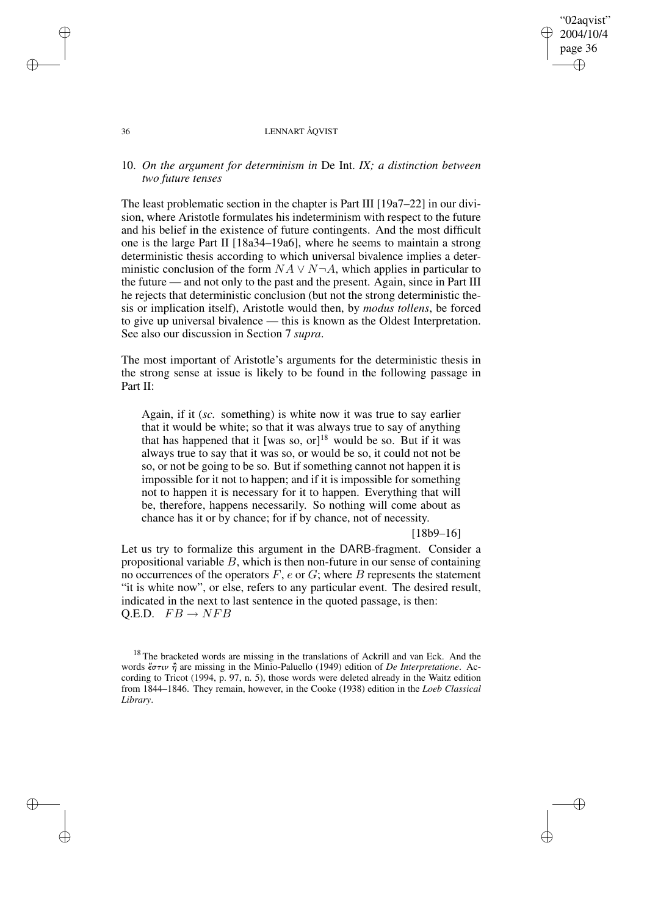"02aqvist" 2004/10/4 page 36 ✐ ✐

✐

✐

## 36 LENNART ÅQVIST

# 10. *On the argument for determinism in* De Int. *IX; a distinction between two future tenses*

The least problematic section in the chapter is Part III [19a7–22] in our division, where Aristotle formulates his indeterminism with respect to the future and his belief in the existence of future contingents. And the most difficult one is the large Part II [18a34–19a6], where he seems to maintain a strong deterministic thesis according to which universal bivalence implies a deterministic conclusion of the form  $NA \vee N \neg A$ , which applies in particular to the future — and not only to the past and the present. Again, since in Part III he rejects that deterministic conclusion (but not the strong deterministic thesis or implication itself), Aristotle would then, by *modus tollens*, be forced to give up universal bivalence — this is known as the Oldest Interpretation. See also our discussion in Section 7 *supra*.

The most important of Aristotle's arguments for the deterministic thesis in the strong sense at issue is likely to be found in the following passage in Part II:

Again, if it (*sc.* something) is white now it was true to say earlier that it would be white; so that it was always true to say of anything that has happened that it [was so, or]<sup>18</sup> would be so. But if it was always true to say that it was so, or would be so, it could not not be so, or not be going to be so. But if something cannot not happen it is impossible for it not to happen; and if it is impossible for something not to happen it is necessary for it to happen. Everything that will be, therefore, happens necessarily. So nothing will come about as chance has it or by chance; for if by chance, not of necessity.

#### [18b9–16]

Let us try to formalize this argument in the DARB-fragment. Consider a propositional variable  $B$ , which is then non-future in our sense of containing no occurrences of the operators  $F$ ,  $e$  or  $G$ ; where  $B$  represents the statement "it is white now", or else, refers to any particular event. The desired result, indicated in the next to last sentence in the quoted passage, is then: Q.E.D.  $FB \rightarrow NFB$ 

✐

✐

✐

<sup>&</sup>lt;sup>18</sup> The bracketed words are missing in the translations of Ackrill and van Eck. And the words στιν À are missing in the Minio-Paluello (1949) edition of *De Interpretatione*. According to Tricot (1994, p. 97, n. 5), those words were deleted already in the Waitz edition from 1844–1846. They remain, however, in the Cooke (1938) edition in the *Loeb Classical Library*.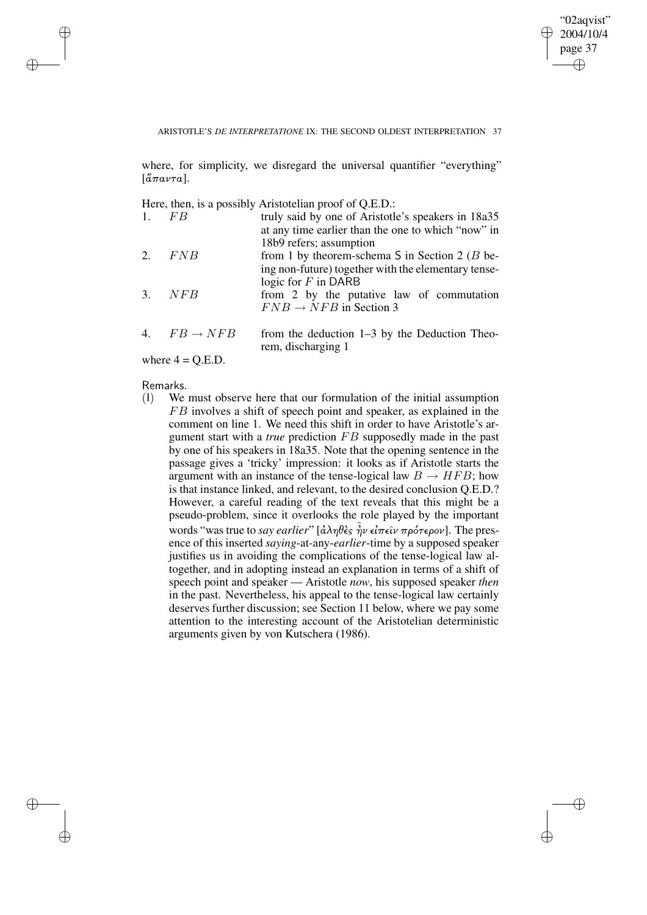✐

### ARISTOTLE'S *DE INTERPRETATIONE* IX: THE SECOND OLDEST INTERPRETATION 37

where, for simplicity, we disregard the universal quantifier "everything"  $\left[\tilde{a}\pi a\nu\tau a\right]$ .

Here, then, is a possibly Aristotelian proof of Q.E.D.:

| 1. | FB                      | truly said by one of Aristotle's speakers in 18a35<br>at any time earlier than the one to which "now" in                                                        |
|----|-------------------------|-----------------------------------------------------------------------------------------------------------------------------------------------------------------|
|    | 2. $FNB$                | 18b9 refers; assumption<br>from 1 by theorem-schema S in Section 2 ( $B$ be-                                                                                    |
|    | $3.$ NFB                | ing non-future) together with the elementary tense-<br>logic for $F$ in DARB<br>from 2 by the putative law of commutation<br>$FNB \rightarrow NFB$ in Section 3 |
|    | 4. $FB \rightarrow NFB$ | from the deduction $1-3$ by the Deduction Theo-<br>rem, discharging 1                                                                                           |

where  $4 = Q.E.D.$ 

Remarks.<br>(1) We

✐

✐

✐

✐

We must observe here that our formulation of the initial assumption FB involves a shift of speech point and speaker, as explained in the comment on line 1. We need this shift in order to have Aristotle's argument start with a *true* prediction FB supposedly made in the past by one of his speakers in 18a35. Note that the opening sentence in the passage gives a 'tricky' impression: it looks as if Aristotle starts the argument with an instance of the tense-logical law  $B \to HFB$ ; how is that instance linked, and relevant, to the desired conclusion Q.E.D.? However, a careful reading of the text reveals that this might be a pseudo-problem, since it overlooks the role played by the important words "was true to *say earlier*" [ἀληθèς ην εἰπεῖν πρότερον]. The presence of this inserted *saying*-at-any-*earlier*-time by a supposed speaker justifies us in avoiding the complications of the tense-logical law altogether, and in adopting instead an explanation in terms of a shift of speech point and speaker — Aristotle *now*, his supposed speaker *then* in the past. Nevertheless, his appeal to the tense-logical law certainly deserves further discussion; see Section 11 below, where we pay some attention to the interesting account of the Aristotelian deterministic arguments given by von Kutschera (1986).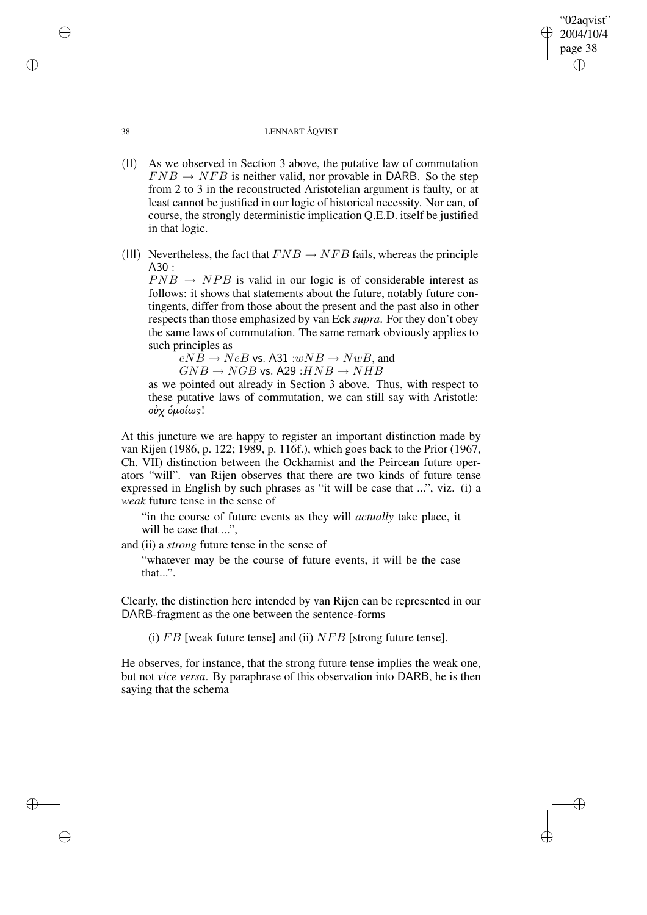## 38 LENNART ÅQVIST

"02aqvist" 2004/10/4 page 38

✐

✐

✐

✐

- (II) As we observed in Section 3 above, the putative law of commutation  $FNB \rightarrow NFB$  is neither valid, nor provable in DARB. So the step from 2 to 3 in the reconstructed Aristotelian argument is faulty, or at least cannot be justified in our logic of historical necessity. Nor can, of course, the strongly deterministic implication Q.E.D. itself be justified in that logic.
- (III) Nevertheless, the fact that  $FNB \rightarrow NFB$  fails, whereas the principle A30 :

 $PNB \rightarrow NPB$  is valid in our logic is of considerable interest as follows: it shows that statements about the future, notably future contingents, differ from those about the present and the past also in other respects than those emphasized by van Eck *supra*. For they don't obey the same laws of commutation. The same remark obviously applies to such principles as

 $eNB \rightarrow NeB$  vs. A31 : $wNB \rightarrow NwB$ , and  $GNB \to NGB$  vs. A29 : $HNB \to NHB$ 

as we pointed out already in Section 3 above. Thus, with respect to these putative laws of commutation, we can still say with Aristotle: οὐχ όμοίως!

At this juncture we are happy to register an important distinction made by van Rijen (1986, p. 122; 1989, p. 116f.), which goes back to the Prior (1967, Ch. VII) distinction between the Ockhamist and the Peircean future operators "will". van Rijen observes that there are two kinds of future tense expressed in English by such phrases as "it will be case that ...", viz. (i) a *weak* future tense in the sense of

"in the course of future events as they will *actually* take place, it will be case that ...",

and (ii) a *strong* future tense in the sense of

"whatever may be the course of future events, it will be the case that...".

Clearly, the distinction here intended by van Rijen can be represented in our DARB-fragment as the one between the sentence-forms

(i)  $FB$  [weak future tense] and (ii)  $NFB$  [strong future tense].

He observes, for instance, that the strong future tense implies the weak one, but not *vice versa*. By paraphrase of this observation into DARB, he is then saying that the schema

✐

✐

✐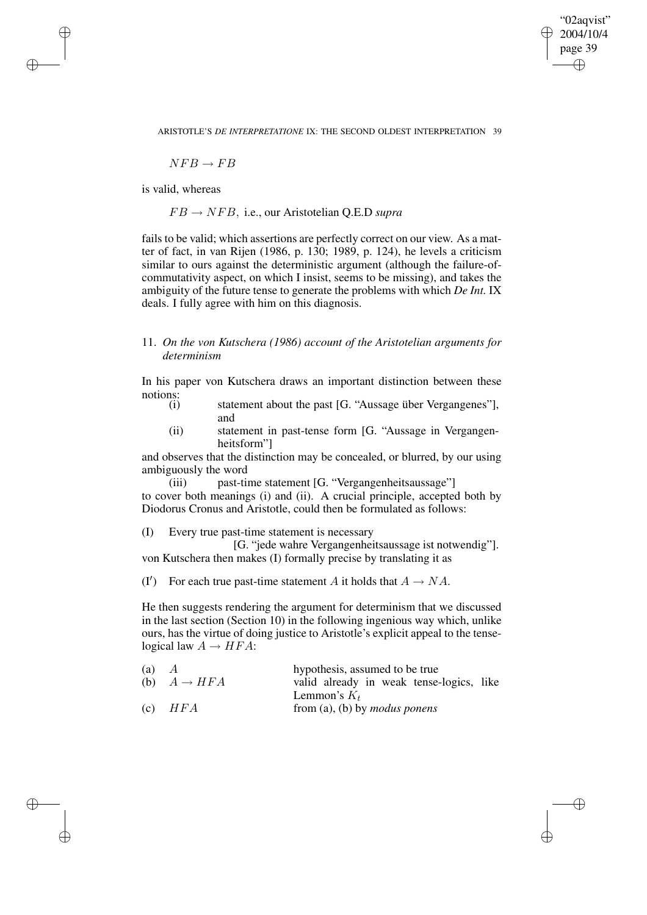"02aqvist" 2004/10/4 page 39 ✐ ✐

✐

 $NFR \rightarrow FR$ 

is valid, whereas

✐

✐

✐

✐

 $FB \rightarrow NFB$ , i.e., our Aristotelian Q.E.D *supra* 

fails to be valid; which assertions are perfectly correct on our view. As a matter of fact, in van Rijen (1986, p. 130; 1989, p. 124), he levels a criticism similar to ours against the deterministic argument (although the failure-ofcommutativity aspect, on which I insist, seems to be missing), and takes the ambiguity of the future tense to generate the problems with which *De Int.* IX deals. I fully agree with him on this diagnosis.

# 11. *On the von Kutschera (1986) account of the Aristotelian arguments for determinism*

In his paper von Kutschera draws an important distinction between these notions:<br>(i)

- statement about the past [G. "Aussage über Vergangenes"], and
- (ii) statement in past-tense form [G. "Aussage in Vergangenheitsform"]

and observes that the distinction may be concealed, or blurred, by our using ambiguously the word

(iii) past-time statement [G. "Vergangenheitsaussage"] to cover both meanings (i) and (ii). A crucial principle, accepted both by Diodorus Cronus and Aristotle, could then be formulated as follows:

(I) Every true past-time statement is necessary

[G. "jede wahre Vergangenheitsaussage ist notwendig"]. von Kutschera then makes (I) formally precise by translating it as

(I') For each true past-time statement A it holds that  $A \rightarrow NA$ .

He then suggests rendering the argument for determinism that we discussed in the last section (Section 10) in the following ingenious way which, unlike ours, has the virtue of doing justice to Aristotle's explicit appeal to the tenselogical law  $A \rightarrow HFA$ :

| (a) |                         | hypothesis, assumed to be true           |
|-----|-------------------------|------------------------------------------|
|     | (b) $A \rightarrow HFA$ | valid already in weak tense-logics, like |
|     |                         | Lemmon's $K_t$                           |
| (c) | HFA                     | from (a), (b) by <i>modus ponens</i>     |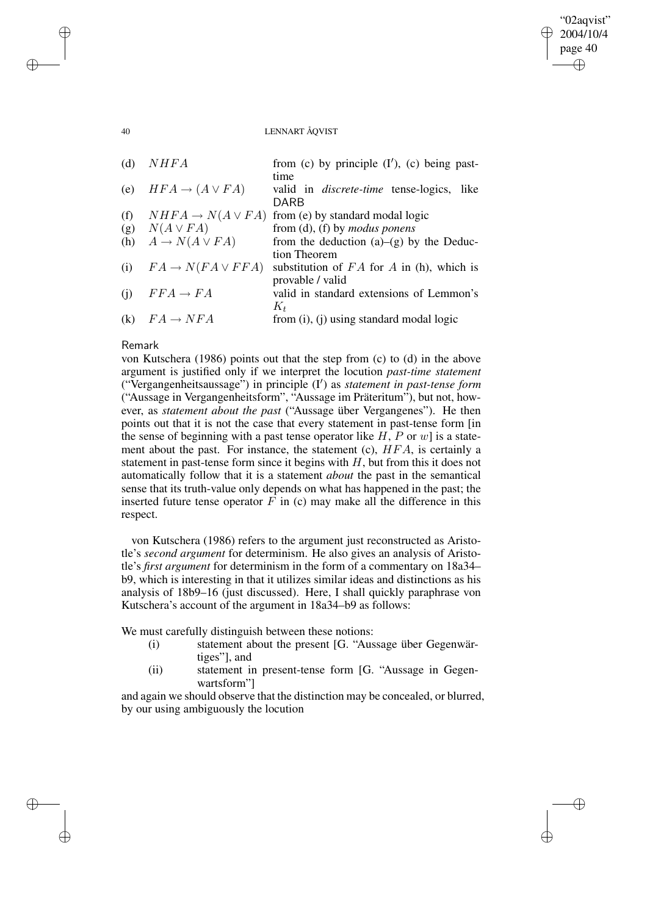#### 40 LENNART ÅQVIST

"02aqvist" 2004/10/4 page 40

✐

✐

✐

✐

| (d) | NHFA                            | from (c) by principle $(I')$ , (c) being past-                          |
|-----|---------------------------------|-------------------------------------------------------------------------|
| (e) | $HFA \rightarrow (A \vee FA)$   | time<br>valid in <i>discrete-time</i> tense-logics, like<br><b>DARB</b> |
| (f) | $NHFA \rightarrow N(A \vee FA)$ |                                                                         |
|     |                                 | from (e) by standard modal logic                                        |
| (g) | $N(A \vee FA)$                  | from $(d)$ , $(f)$ by <i>modus ponens</i>                               |
| (h) | $A \to N(A \vee FA)$            | from the deduction $(a)-(g)$ by the Deduc-                              |
|     |                                 | tion Theorem                                                            |
| (i) | $FA \rightarrow N(FA \vee FFA)$ | substitution of $FA$ for $A$ in (h), which is                           |
|     |                                 | provable / valid                                                        |
| (i) | $FFA \rightarrow FA$            | valid in standard extensions of Lemmon's                                |
|     |                                 | $K_t$                                                                   |
| (k) | $FA \rightarrow NFA$            | from $(i)$ , $(i)$ using standard modal logic                           |

# Remark

von Kutschera (1986) points out that the step from (c) to (d) in the above argument is justified only if we interpret the locution *past-time statement* ("Vergangenheitsaussage") in principle (I<sup>0</sup> ) as *statement in past-tense form* ("Aussage in Vergangenheitsform", "Aussage im Präteritum"), but not, however, as *statement about the past* ("Aussage über Vergangenes"). He then points out that it is not the case that every statement in past-tense form [in the sense of beginning with a past tense operator like  $H$ ,  $P$  or  $w$  is a statement about the past. For instance, the statement (c), HFA, is certainly a statement in past-tense form since it begins with  $H$ , but from this it does not automatically follow that it is a statement *about* the past in the semantical sense that its truth-value only depends on what has happened in the past; the inserted future tense operator  $F$  in (c) may make all the difference in this respect.

von Kutschera (1986) refers to the argument just reconstructed as Aristotle's *second argument* for determinism. He also gives an analysis of Aristotle's *first argument* for determinism in the form of a commentary on 18a34– b9, which is interesting in that it utilizes similar ideas and distinctions as his analysis of 18b9–16 (just discussed). Here, I shall quickly paraphrase von Kutschera's account of the argument in 18a34–b9 as follows:

We must carefully distinguish between these notions:

- (i) statement about the present [G. "Aussage über Gegenwärtiges"], and
- (ii) statement in present-tense form [G. "Aussage in Gegenwartsform"]

and again we should observe that the distinction may be concealed, or blurred, by our using ambiguously the locution

✐

✐

✐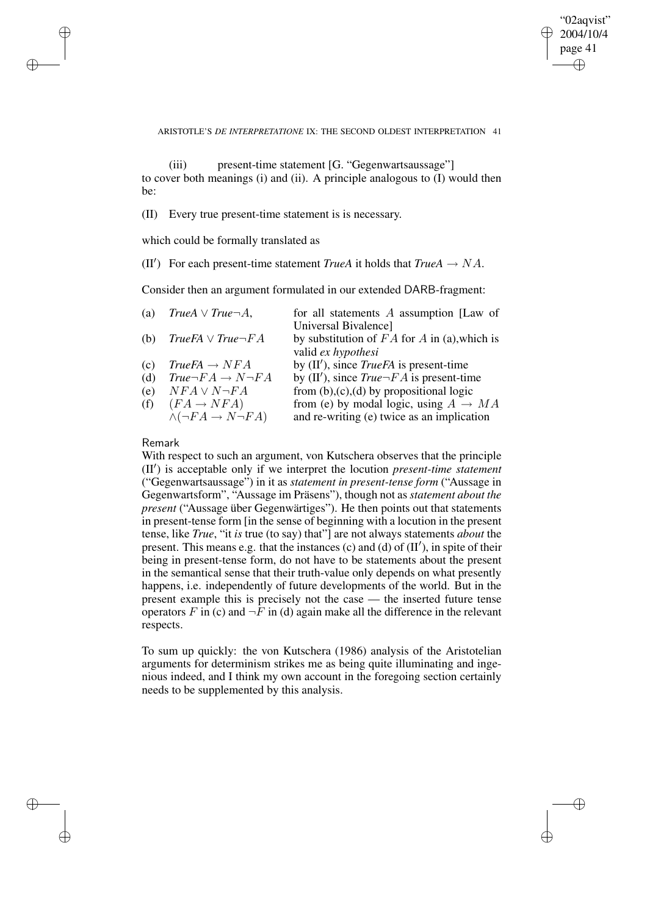✐

ARISTOTLE'S *DE INTERPRETATIONE* IX: THE SECOND OLDEST INTERPRETATION 41

(iii) present-time statement [G. "Gegenwartsaussage"] to cover both meanings (i) and (ii). A principle analogous to (I) would then be:

(II) Every true present-time statement is is necessary.

which could be formally translated as

(II<sup>'</sup>) For each present-time statement *TrueA* it holds that  $True A \rightarrow NA$ .

Consider then an argument formulated in our extended DARB-fragment:

| (a) | $True A \vee True \neg A$ ,              | for all statements $A$ assumption [Law of         |
|-----|------------------------------------------|---------------------------------------------------|
|     |                                          | Universal Bivalence]                              |
|     | (b) $TrueFA \vee True\neg FA$            | by substitution of $FA$ for A in (a), which is    |
|     |                                          | valid ex hypothesi                                |
| (c) | $TrueFA \rightarrow NFA$                 | by $(II')$ , since <i>TrueFA</i> is present-time  |
| (d) | $True\neg FA \rightarrow N\neg FA$       | by (II'), since $True \neg FA$ is present-time    |
| (e) | $NFA \vee N\neg FA$                      | from $(b)$ , $(c)$ , $(d)$ by propositional logic |
| (f) | $(FA \rightarrow NFA)$                   | from (e) by modal logic, using $A \rightarrow MA$ |
|     | $\wedge (\neg FA \rightarrow N \neg FA)$ | and re-writing (e) twice as an implication        |
|     |                                          |                                                   |
|     |                                          |                                                   |

# Remark

✐

✐

✐

✐

With respect to such an argument, von Kutschera observes that the principle (II<sup>)</sup> is acceptable only if we interpret the locution *present-time statement* ("Gegenwartsaussage") in it as *statement in present-tense form* ("Aussage in Gegenwartsform", "Aussage im Präsens"), though not as *statement about the present* ("Aussage über Gegenwärtiges"). He then points out that statements in present-tense form [in the sense of beginning with a locution in the present tense, like *True*, "it *is* true (to say) that"] are not always statements *about* the present. This means e.g. that the instances (c) and (d) of  $(II')$ , in spite of their being in present-tense form, do not have to be statements about the present in the semantical sense that their truth-value only depends on what presently happens, i.e. independently of future developments of the world. But in the present example this is precisely not the case — the inserted future tense operators F in (c) and  $\neg$ F in (d) again make all the difference in the relevant respects.

To sum up quickly: the von Kutschera (1986) analysis of the Aristotelian arguments for determinism strikes me as being quite illuminating and ingenious indeed, and I think my own account in the foregoing section certainly needs to be supplemented by this analysis.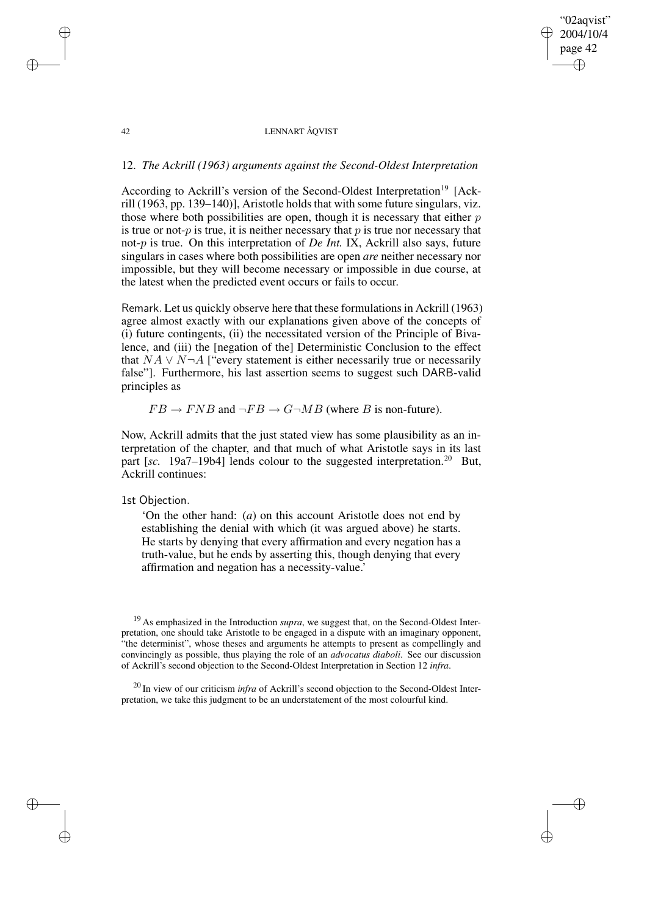# "02aqvist" 2004/10/4 page 42 ✐ ✐

✐

✐

## 42 LENNART ÅQVIST

# 12. *The Ackrill (1963) arguments against the Second-Oldest Interpretation*

According to Ackrill's version of the Second-Oldest Interpretation<sup>19</sup> [Ackrill  $(1963, pp. 139–140)$ ], Aristotle holds that with some future singulars, viz. those where both possibilities are open, though it is necessary that either  $p$ is true or not- $p$  is true, it is neither necessary that  $p$  is true nor necessary that not-p is true. On this interpretation of *De Int.* IX, Ackrill also says, future singulars in cases where both possibilities are open *are* neither necessary nor impossible, but they will become necessary or impossible in due course, at the latest when the predicted event occurs or fails to occur.

Remark. Let us quickly observe here that these formulations in Ackrill (1963) agree almost exactly with our explanations given above of the concepts of (i) future contingents, (ii) the necessitated version of the Principle of Bivalence, and (iii) the [negation of the] Deterministic Conclusion to the effect that  $NA \vee N \neg A$  ["every statement is either necessarily true or necessarily false"]. Furthermore, his last assertion seems to suggest such DARB-valid principles as

 $FB \rightarrow FNB$  and  $\neg FB \rightarrow G \neg MB$  (where B is non-future).

Now, Ackrill admits that the just stated view has some plausibility as an interpretation of the chapter, and that much of what Aristotle says in its last part [sc. 19a7–19b4] lends colour to the suggested interpretation.<sup>20</sup> But, Ackrill continues:

# 1st Objection.

✐

✐

✐

✐

'On the other hand: (*a*) on this account Aristotle does not end by establishing the denial with which (it was argued above) he starts. He starts by denying that every affirmation and every negation has a truth-value, but he ends by asserting this, though denying that every affirmation and negation has a necessity-value.'

<sup>19</sup> As emphasized in the Introduction *supra*, we suggest that, on the Second-Oldest Interpretation, one should take Aristotle to be engaged in a dispute with an imaginary opponent, "the determinist", whose theses and arguments he attempts to present as compellingly and convincingly as possible, thus playing the role of an *advocatus diaboli*. See our discussion of Ackrill's second objection to the Second-Oldest Interpretation in Section 12 *infra*.

<sup>20</sup> In view of our criticism *infra* of Ackrill's second objection to the Second-Oldest Interpretation, we take this judgment to be an understatement of the most colourful kind.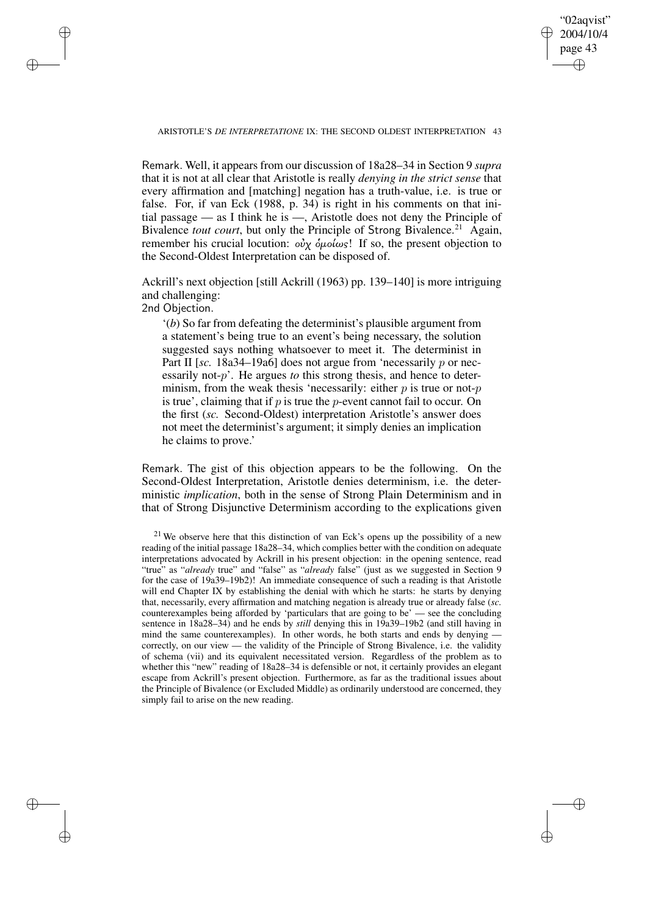"02aqvist" 2004/10/4 page 43 ✐ ✐

✐

✐

#### ARISTOTLE'S *DE INTERPRETATIONE* IX: THE SECOND OLDEST INTERPRETATION 43

✐

✐

✐

✐

Remark. Well, it appears from our discussion of 18a28–34 in Section 9 *supra* that it is not at all clear that Aristotle is really *denying in the strict sense* that every affirmation and [matching] negation has a truth-value, i.e. is true or false. For, if van Eck (1988, p. 34) is right in his comments on that initial passage — as I think he is —, Aristotle does not deny the Principle of Bivalence *tout court*, but only the Principle of Strong Bivalence.<sup>21</sup> Again, remember his crucial locution:  $oνα$  όμοίως! If so, the present objection to the Second-Oldest Interpretation can be disposed of.

Ackrill's next objection [still Ackrill (1963) pp. 139–140] is more intriguing and challenging: 2nd Objection.

'(*b*) So far from defeating the determinist's plausible argument from a statement's being true to an event's being necessary, the solution suggested says nothing whatsoever to meet it. The determinist in Part II [sc. 18a34–19a6] does not argue from 'necessarily p or necessarily not-p'. He argues *to* this strong thesis, and hence to determinism, from the weak thesis 'necessarily: either  $p$  is true or not- $p$ is true', claiming that if  $p$  is true the  $p$ -event cannot fail to occur. On the first (*sc.* Second-Oldest) interpretation Aristotle's answer does not meet the determinist's argument; it simply denies an implication he claims to prove.'

Remark. The gist of this objection appears to be the following. On the Second-Oldest Interpretation, Aristotle denies determinism, i.e. the deterministic *implication*, both in the sense of Strong Plain Determinism and in that of Strong Disjunctive Determinism according to the explications given

 $21$  We observe here that this distinction of van Eck's opens up the possibility of a new reading of the initial passage 18a28–34, which complies better with the condition on adequate interpretations advocated by Ackrill in his present objection: in the opening sentence, read "true" as "*already* true" and "false" as "*already* false" (just as we suggested in Section 9 for the case of 19a39–19b2)! An immediate consequence of such a reading is that Aristotle will end Chapter IX by establishing the denial with which he starts: he starts by denying that, necessarily, every affirmation and matching negation is already true or already false (*sc.* counterexamples being afforded by 'particulars that are going to be' — see the concluding sentence in 18a28–34) and he ends by *still* denying this in 19a39–19b2 (and still having in mind the same counterexamples). In other words, he both starts and ends by denying correctly, on our view — the validity of the Principle of Strong Bivalence, i.e. the validity of schema (vii) and its equivalent necessitated version. Regardless of the problem as to whether this "new" reading of 18a28–34 is defensible or not, it certainly provides an elegant escape from Ackrill's present objection. Furthermore, as far as the traditional issues about the Principle of Bivalence (or Excluded Middle) as ordinarily understood are concerned, they simply fail to arise on the new reading.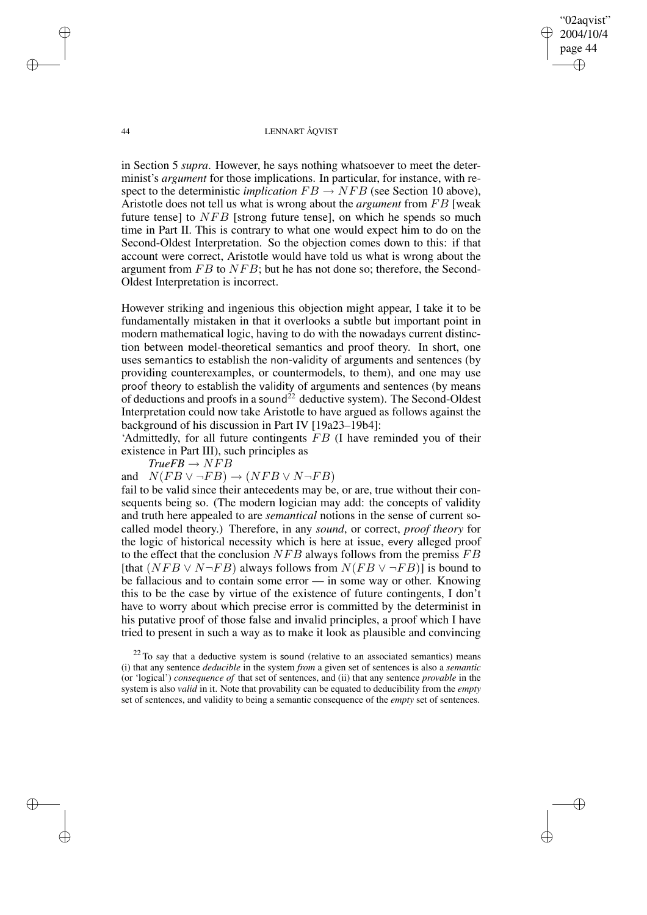"02aqvist" 2004/10/4 page 44 ✐ ✐

✐

✐

#### 44 LENNART ÅQVIST

in Section 5 *supra*. However, he says nothing whatsoever to meet the determinist's *argument* for those implications. In particular, for instance, with respect to the deterministic *implication*  $FB \rightarrow NFB$  (see Section 10 above), Aristotle does not tell us what is wrong about the *argument* from FB [weak future tense] to  $NFB$  [strong future tense], on which he spends so much time in Part II. This is contrary to what one would expect him to do on the Second-Oldest Interpretation. So the objection comes down to this: if that account were correct, Aristotle would have told us what is wrong about the argument from FB to NFB; but he has not done so; therefore, the Second-Oldest Interpretation is incorrect.

However striking and ingenious this objection might appear, I take it to be fundamentally mistaken in that it overlooks a subtle but important point in modern mathematical logic, having to do with the nowadays current distinction between model-theoretical semantics and proof theory. In short, one uses semantics to establish the non-validity of arguments and sentences (by providing counterexamples, or countermodels, to them), and one may use proof theory to establish the validity of arguments and sentences (by means of deductions and proofs in a sound<sup>22</sup> deductive system). The Second-Oldest Interpretation could now take Aristotle to have argued as follows against the background of his discussion in Part IV [19a23–19b4]:

'Admittedly, for all future contingents  $FB$  (I have reminded you of their existence in Part III), such principles as

*TrueFB* → NFB

and  $N(FB \vee \neg FB) \rightarrow (NFB \vee N \neg FB)$ 

fail to be valid since their antecedents may be, or are, true without their consequents being so. (The modern logician may add: the concepts of validity and truth here appealed to are *semantical* notions in the sense of current socalled model theory.) Therefore, in any *sound*, or correct, *proof theory* for the logic of historical necessity which is here at issue, every alleged proof to the effect that the conclusion  $NFB$  always follows from the premiss  $FB$ [that  $(NFB \vee N\neg FB)$  always follows from  $N(FB \vee \neg FB)$ ] is bound to be fallacious and to contain some error — in some way or other. Knowing this to be the case by virtue of the existence of future contingents, I don't have to worry about which precise error is committed by the determinist in his putative proof of those false and invalid principles, a proof which I have tried to present in such a way as to make it look as plausible and convincing

✐

✐

✐

 $22$  To say that a deductive system is sound (relative to an associated semantics) means (i) that any sentence *deducible* in the system *from* a given set of sentences is also a *semantic* (or 'logical') *consequence of* that set of sentences, and (ii) that any sentence *provable* in the system is also *valid* in it. Note that provability can be equated to deducibility from the *empty* set of sentences, and validity to being a semantic consequence of the *empty* set of sentences.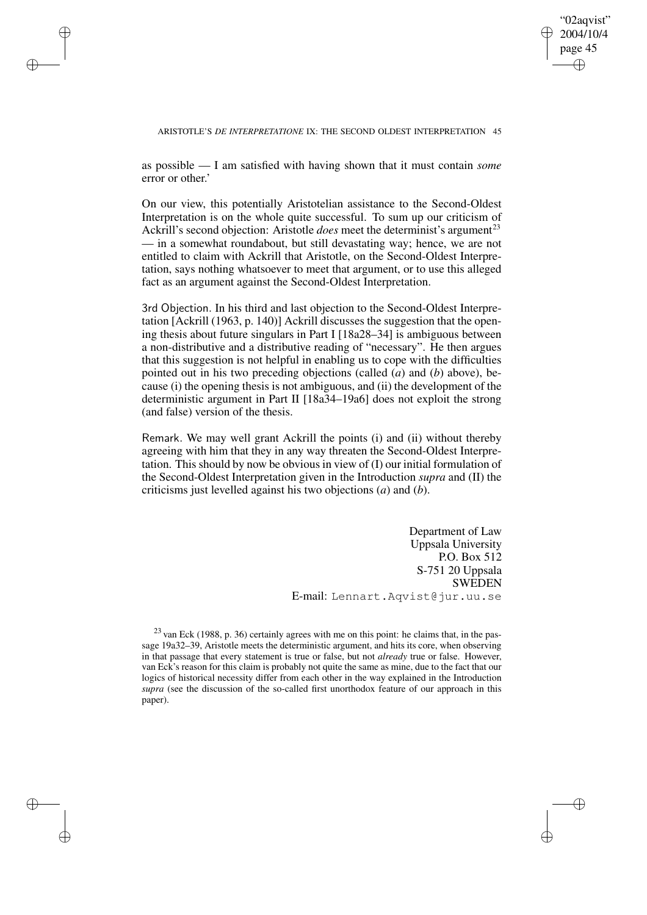"02aqvist" 2004/10/4 page 45 ✐ ✐

✐

✐

#### ARISTOTLE'S *DE INTERPRETATIONE* IX: THE SECOND OLDEST INTERPRETATION 45

as possible — I am satisfied with having shown that it must contain *some* error or other.'

✐

✐

✐

✐

On our view, this potentially Aristotelian assistance to the Second-Oldest Interpretation is on the whole quite successful. To sum up our criticism of Ackrill's second objection: Aristotle *does* meet the determinist's argument<sup>23</sup> — in a somewhat roundabout, but still devastating way; hence, we are not entitled to claim with Ackrill that Aristotle, on the Second-Oldest Interpretation, says nothing whatsoever to meet that argument, or to use this alleged fact as an argument against the Second-Oldest Interpretation.

3rd Objection. In his third and last objection to the Second-Oldest Interpretation [Ackrill (1963, p. 140)] Ackrill discusses the suggestion that the opening thesis about future singulars in Part I [18a28–34] is ambiguous between a non-distributive and a distributive reading of "necessary". He then argues that this suggestion is not helpful in enabling us to cope with the difficulties pointed out in his two preceding objections (called (*a*) and (*b*) above), because (i) the opening thesis is not ambiguous, and (ii) the development of the deterministic argument in Part II [18a34–19a6] does not exploit the strong (and false) version of the thesis.

Remark. We may well grant Ackrill the points (i) and (ii) without thereby agreeing with him that they in any way threaten the Second-Oldest Interpretation. This should by now be obvious in view of (I) our initial formulation of the Second-Oldest Interpretation given in the Introduction *supra* and (II) the criticisms just levelled against his two objections (*a*) and (*b*).

> Department of Law Uppsala University P.O. Box 512 S-751 20 Uppsala SWEDEN E-mail: Lennart.Aqvist@jur.uu.se

 $23$  van Eck (1988, p. 36) certainly agrees with me on this point: he claims that, in the passage 19a32–39, Aristotle meets the deterministic argument, and hits its core, when observing in that passage that every statement is true or false, but not *already* true or false. However, van Eck's reason for this claim is probably not quite the same as mine, due to the fact that our logics of historical necessity differ from each other in the way explained in the Introduction *supra* (see the discussion of the so-called first unorthodox feature of our approach in this paper).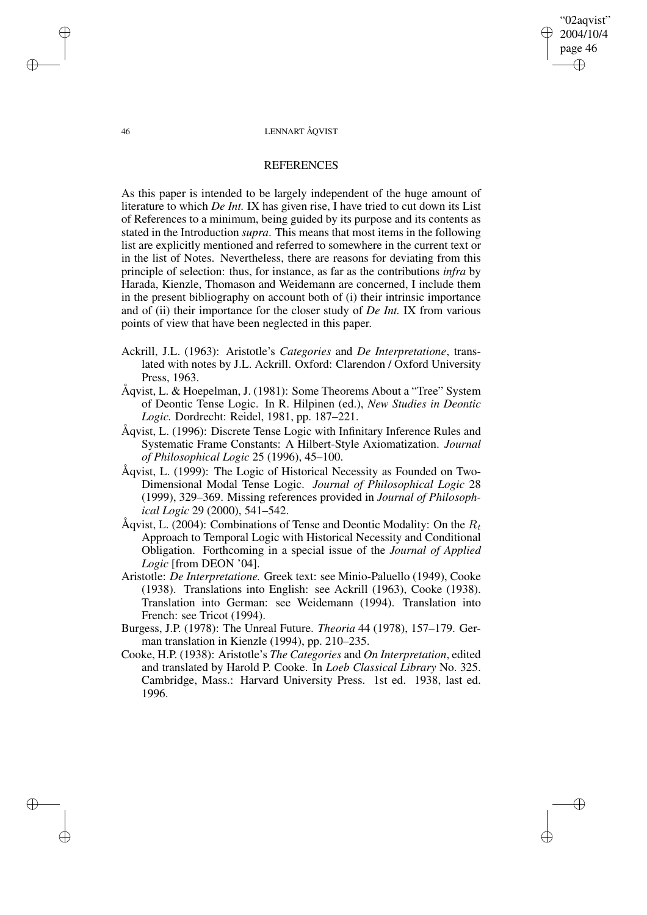"02aqvist" 2004/10/4 page 46 ✐ ✐

✐

✐

#### 46 LENNART ÅQVIST

# **REFERENCES**

As this paper is intended to be largely independent of the huge amount of literature to which *De Int.* IX has given rise, I have tried to cut down its List of References to a minimum, being guided by its purpose and its contents as stated in the Introduction *supra*. This means that most items in the following list are explicitly mentioned and referred to somewhere in the current text or in the list of Notes. Nevertheless, there are reasons for deviating from this principle of selection: thus, for instance, as far as the contributions *infra* by Harada, Kienzle, Thomason and Weidemann are concerned, I include them in the present bibliography on account both of (i) their intrinsic importance and of (ii) their importance for the closer study of *De Int.* IX from various points of view that have been neglected in this paper.

- Ackrill, J.L. (1963): Aristotle's *Categories* and *De Interpretatione*, translated with notes by J.L. Ackrill. Oxford: Clarendon / Oxford University Press, 1963.
- Åqvist, L. & Hoepelman, J. (1981): Some Theorems About a "Tree" System of Deontic Tense Logic. In R. Hilpinen (ed.), *New Studies in Deontic Logic.* Dordrecht: Reidel, 1981, pp. 187–221.
- Åqvist, L. (1996): Discrete Tense Logic with Infinitary Inference Rules and Systematic Frame Constants: A Hilbert-Style Axiomatization. *Journal of Philosophical Logic* 25 (1996), 45–100.
- Åqvist, L. (1999): The Logic of Historical Necessity as Founded on Two-Dimensional Modal Tense Logic. *Journal of Philosophical Logic* 28 (1999), 329–369. Missing references provided in *Journal of Philosophical Logic* 29 (2000), 541–542.
- Åqvist, L. (2004): Combinations of Tense and Deontic Modality: On the  $R_t$ Approach to Temporal Logic with Historical Necessity and Conditional Obligation. Forthcoming in a special issue of the *Journal of Applied Logic* [from DEON '04].
- Aristotle: *De Interpretatione.* Greek text: see Minio-Paluello (1949), Cooke (1938). Translations into English: see Ackrill (1963), Cooke (1938). Translation into German: see Weidemann (1994). Translation into French: see Tricot (1994).
- Burgess, J.P. (1978): The Unreal Future. *Theoria* 44 (1978), 157–179. German translation in Kienzle (1994), pp. 210–235.
- Cooke, H.P. (1938): Aristotle's *The Categories* and *On Interpretation*, edited and translated by Harold P. Cooke. In *Loeb Classical Library* No. 325. Cambridge, Mass.: Harvard University Press. 1st ed. 1938, last ed. 1996.

✐

✐

✐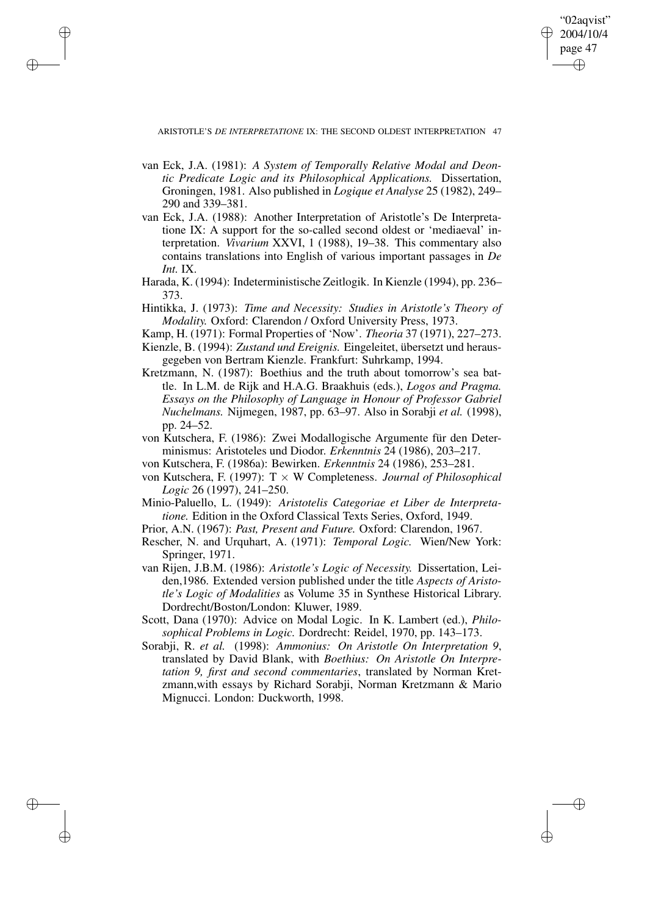2004/10/4 page 47 ✐ ✐

"02aqvist"

✐

✐

ARISTOTLE'S *DE INTERPRETATIONE* IX: THE SECOND OLDEST INTERPRETATION 47

✐

✐

✐

- van Eck, J.A. (1981): *A System of Temporally Relative Modal and Deontic Predicate Logic and its Philosophical Applications.* Dissertation, Groningen, 1981. Also published in *Logique et Analyse* 25 (1982), 249– 290 and 339–381.
- van Eck, J.A. (1988): Another Interpretation of Aristotle's De Interpretatione IX: A support for the so-called second oldest or 'mediaeval' interpretation. *Vivarium* XXVI, 1 (1988), 19–38. This commentary also contains translations into English of various important passages in *De Int.* IX.
- Harada, K. (1994): Indeterministische Zeitlogik. In Kienzle (1994), pp. 236– 373.
- Hintikka, J. (1973): *Time and Necessity: Studies in Aristotle's Theory of Modality.* Oxford: Clarendon / Oxford University Press, 1973.
- Kamp, H. (1971): Formal Properties of 'Now'. *Theoria* 37 (1971), 227–273. Kienzle, B. (1994): *Zustand und Ereignis.* Eingeleitet, übersetzt und heraus-
- gegeben von Bertram Kienzle. Frankfurt: Suhrkamp, 1994. Kretzmann, N. (1987): Boethius and the truth about tomorrow's sea battle. In L.M. de Rijk and H.A.G. Braakhuis (eds.), *Logos and Pragma. Essays on the Philosophy of Language in Honour of Professor Gabriel Nuchelmans.* Nijmegen, 1987, pp. 63–97. Also in Sorabji *et al.* (1998), pp. 24–52.
- von Kutschera, F. (1986): Zwei Modallogische Argumente für den Determinismus: Aristoteles und Diodor. *Erkenntnis* 24 (1986), 203–217.
- von Kutschera, F. (1986a): Bewirken. *Erkenntnis* 24 (1986), 253–281.
- von Kutschera, F. (1997): T × W Completeness. *Journal of Philosophical Logic* 26 (1997), 241–250.
- Minio-Paluello, L. (1949): *Aristotelis Categoriae et Liber de Interpretatione.* Edition in the Oxford Classical Texts Series, Oxford, 1949.
- Prior, A.N. (1967): *Past, Present and Future.* Oxford: Clarendon, 1967.
- Rescher, N. and Urquhart, A. (1971): *Temporal Logic.* Wien/New York: Springer, 1971.
- van Rijen, J.B.M. (1986): *Aristotle's Logic of Necessity.* Dissertation, Leiden,1986. Extended version published under the title *Aspects of Aristotle's Logic of Modalities* as Volume 35 in Synthese Historical Library. Dordrecht/Boston/London: Kluwer, 1989.
- Scott, Dana (1970): Advice on Modal Logic. In K. Lambert (ed.), *Philosophical Problems in Logic.* Dordrecht: Reidel, 1970, pp. 143–173.
- Sorabji, R. *et al.* (1998): *Ammonius: On Aristotle On Interpretation 9*, translated by David Blank, with *Boethius: On Aristotle On Interpretation 9, first and second commentaries*, translated by Norman Kretzmann,with essays by Richard Sorabji, Norman Kretzmann & Mario Mignucci. London: Duckworth, 1998.